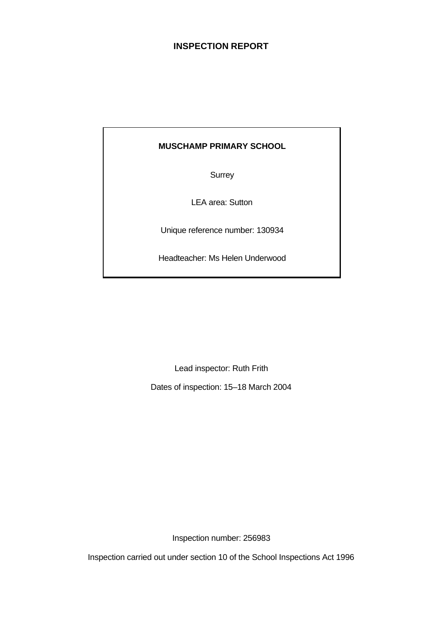# **INSPECTION REPORT**

# **MUSCHAMP PRIMARY SCHOOL**

**Surrey** 

LEA area: Sutton

Unique reference number: 130934

Headteacher: Ms Helen Underwood

Lead inspector: Ruth Frith

Dates of inspection: 15–18 March 2004

Inspection number: 256983

Inspection carried out under section 10 of the School Inspections Act 1996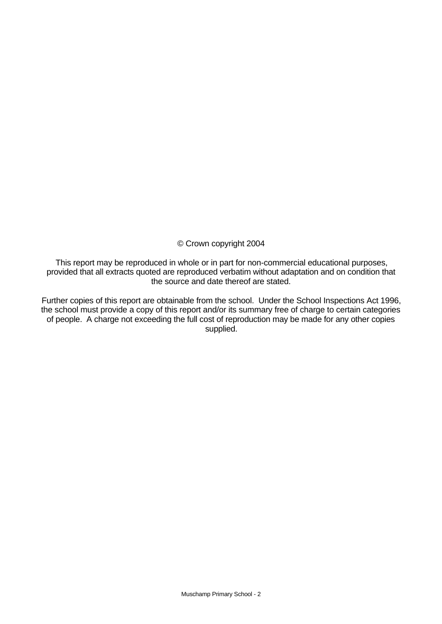© Crown copyright 2004

This report may be reproduced in whole or in part for non-commercial educational purposes, provided that all extracts quoted are reproduced verbatim without adaptation and on condition that the source and date thereof are stated.

Further copies of this report are obtainable from the school. Under the School Inspections Act 1996, the school must provide a copy of this report and/or its summary free of charge to certain categories of people. A charge not exceeding the full cost of reproduction may be made for any other copies supplied.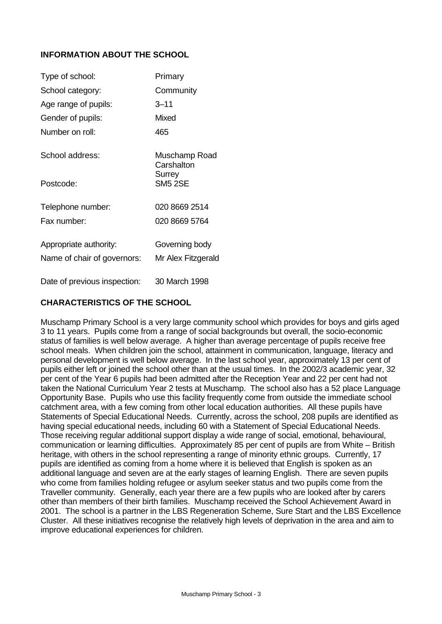# **INFORMATION ABOUT THE SCHOOL**

| Type of school:              | Primary                     |
|------------------------------|-----------------------------|
| School category:             | Community                   |
| Age range of pupils:         | 3–11                        |
| Gender of pupils:            | Mixed                       |
| Number on roll:              | 465                         |
| School address:              | Muschamp Road<br>Carshalton |
| Postcode:                    | Surrey<br><b>SM5 2SE</b>    |
| Telephone number:            | 020 8669 2514               |
| Fax number:                  | 020 8669 5764               |
| Appropriate authority:       | Governing body              |
| Name of chair of governors:  | Mr Alex Fitzgerald          |
| Date of previous inspection: | 30 March 1998               |

#### **CHARACTERISTICS OF THE SCHOOL**

Muschamp Primary School is a very large community school which provides for boys and girls aged 3 to 11 years. Pupils come from a range of social backgrounds but overall, the socio-economic status of families is well below average. A higher than average percentage of pupils receive free school meals. When children join the school, attainment in communication, language, literacy and personal development is well below average. In the last school year, approximately 13 per cent of pupils either left or joined the school other than at the usual times. In the 2002/3 academic year, 32 per cent of the Year 6 pupils had been admitted after the Reception Year and 22 per cent had not taken the National Curriculum Year 2 tests at Muschamp. The school also has a 52 place Language Opportunity Base. Pupils who use this facility frequently come from outside the immediate school catchment area, with a few coming from other local education authorities. All these pupils have Statements of Special Educational Needs. Currently, across the school, 208 pupils are identified as having special educational needs, including 60 with a Statement of Special Educational Needs. Those receiving regular additional support display a wide range of social, emotional, behavioural, communication or learning difficulties. Approximately 85 per cent of pupils are from White – British heritage, with others in the school representing a range of minority ethnic groups. Currently, 17 pupils are identified as coming from a home where it is believed that English is spoken as an additional language and seven are at the early stages of learning English. There are seven pupils who come from families holding refugee or asylum seeker status and two pupils come from the Traveller community. Generally, each year there are a few pupils who are looked after by carers other than members of their birth families. Muschamp received the School Achievement Award in 2001. The school is a partner in the LBS Regeneration Scheme, Sure Start and the LBS Excellence Cluster. All these initiatives recognise the relatively high levels of deprivation in the area and aim to improve educational experiences for children.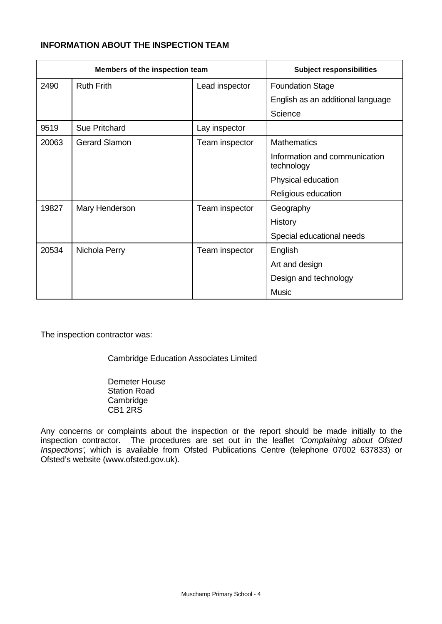# **INFORMATION ABOUT THE INSPECTION TEAM**

| Members of the inspection team |                      | <b>Subject responsibilities</b> |                                             |
|--------------------------------|----------------------|---------------------------------|---------------------------------------------|
| 2490                           | <b>Ruth Frith</b>    | Lead inspector                  | <b>Foundation Stage</b>                     |
|                                |                      |                                 | English as an additional language           |
|                                |                      |                                 | Science                                     |
| 9519                           | <b>Sue Pritchard</b> | Lay inspector                   |                                             |
| 20063                          | <b>Gerard Slamon</b> | Team inspector                  | <b>Mathematics</b>                          |
|                                |                      |                                 | Information and communication<br>technology |
|                                |                      |                                 | Physical education                          |
|                                |                      |                                 | Religious education                         |
| 19827                          | Mary Henderson       | Team inspector                  | Geography                                   |
|                                |                      |                                 | History                                     |
|                                |                      |                                 | Special educational needs                   |
| 20534                          | Nichola Perry        | Team inspector                  | English                                     |
|                                |                      |                                 | Art and design                              |
|                                |                      |                                 | Design and technology                       |
|                                |                      |                                 | <b>Music</b>                                |

The inspection contractor was:

Cambridge Education Associates Limited

Demeter House Station Road **Cambridge** CB1 2RS

Any concerns or complaints about the inspection or the report should be made initially to the inspection contractor. The procedures are set out in the leaflet *'Complaining about Ofsted Inspections'*, which is available from Ofsted Publications Centre (telephone 07002 637833) or Ofsted's website (www.ofsted.gov.uk).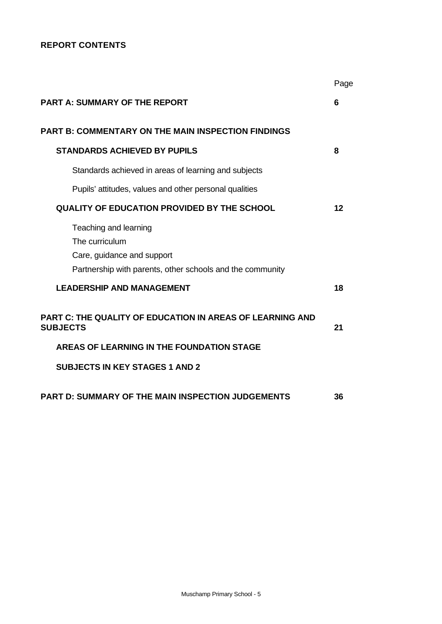# **REPORT CONTENTS**

|                                                                                                                                    | Page |
|------------------------------------------------------------------------------------------------------------------------------------|------|
| <b>PART A: SUMMARY OF THE REPORT</b>                                                                                               | 6    |
| <b>PART B: COMMENTARY ON THE MAIN INSPECTION FINDINGS</b>                                                                          |      |
| <b>STANDARDS ACHIEVED BY PUPILS</b>                                                                                                | 8    |
| Standards achieved in areas of learning and subjects                                                                               |      |
| Pupils' attitudes, values and other personal qualities                                                                             |      |
| <b>QUALITY OF EDUCATION PROVIDED BY THE SCHOOL</b>                                                                                 | 12   |
| Teaching and learning<br>The curriculum<br>Care, guidance and support<br>Partnership with parents, other schools and the community |      |
| <b>LEADERSHIP AND MANAGEMENT</b>                                                                                                   | 18   |
| <b>PART C: THE QUALITY OF EDUCATION IN AREAS OF LEARNING AND</b><br><b>SUBJECTS</b>                                                | 21   |
| AREAS OF LEARNING IN THE FOUNDATION STAGE                                                                                          |      |
| <b>SUBJECTS IN KEY STAGES 1 AND 2</b>                                                                                              |      |
| <b>PART D: SUMMARY OF THE MAIN INSPECTION JUDGEMENTS</b>                                                                           | 36   |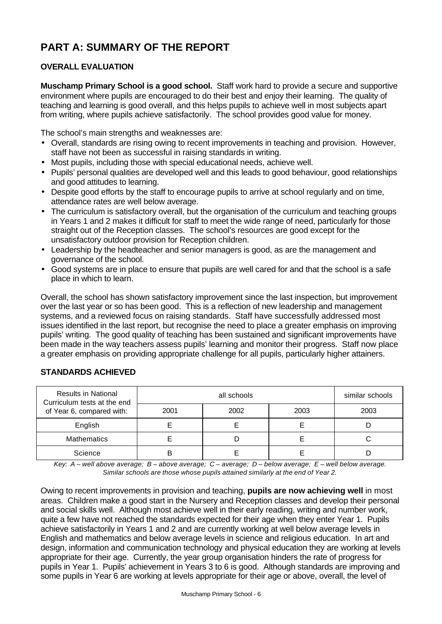# **PART A: SUMMARY OF THE REPORT**

# **OVERALL EVALUATION**

**Muschamp Primary School is a good school.** Staff work hard to provide a secure and supportive environment where pupils are encouraged to do their best and enjoy their learning. The quality of teaching and learning is good overall, and this helps pupils to achieve well in most subjects apart from writing, where pupils achieve satisfactorily. The school provides good value for money.

The school's main strengths and weaknesses are:

- Overall, standards are rising owing to recent improvements in teaching and provision. However, staff have not been as successful in raising standards in writing.
- Most pupils, including those with special educational needs, achieve well.
- Pupils' personal qualities are developed well and this leads to good behaviour, good relationships and good attitudes to learning.
- Despite good efforts by the staff to encourage pupils to arrive at school regularly and on time, attendance rates are well below average.
- The curriculum is satisfactory overall, but the organisation of the curriculum and teaching groups in Years 1 and 2 makes it difficult for staff to meet the wide range of need, particularly for those straight out of the Reception classes. The school's resources are good except for the unsatisfactory outdoor provision for Reception children.
- Leadership by the headteacher and senior managers is good, as are the management and governance of the school.
- Good systems are in place to ensure that pupils are well cared for and that the school is a safe place in which to learn.

Overall, the school has shown satisfactory improvement since the last inspection, but improvement over the last year or so has been good. This is a reflection of new leadership and management systems, and a reviewed focus on raising standards. Staff have successfully addressed most issues identified in the last report, but recognise the need to place a greater emphasis on improving pupils' writing. The good quality of teaching has been sustained and significant improvements have been made in the way teachers assess pupils' learning and monitor their progress. Staff now place a greater emphasis on providing appropriate challenge for all pupils, particularly higher attainers.

# Results in National all schools and schools all schools and similar schools because the similar schools Curriculum tests at the end of Year 6, compared with: 2001 2002 2003 2003 English E E E D Mathematics E D E C Science | B | E | E | D

# **STANDARDS ACHIEVED**

*Key: A – well above average; B – above average; C – average; D – below average; E – well below average. Similar schools are those whose pupils attained similarly at the end of Year 2.*

Owing to recent improvements in provision and teaching, **pupils are now achieving well** in most areas. Children make a good start in the Nursery and Reception classes and develop their personal and social skills well. Although most achieve well in their early reading, writing and number work, quite a few have not reached the standards expected for their age when they enter Year 1. Pupils achieve satisfactorily in Years 1 and 2 and are currently working at well below average levels in English and mathematics and below average levels in science and religious education. In art and design, information and communication technology and physical education they are working at levels appropriate for their age. Currently, the year group organisation hinders the rate of progress for pupils in Year 1. Pupils' achievement in Years 3 to 6 is good. Although standards are improving and some pupils in Year 6 are working at levels appropriate for their age or above, overall, the level of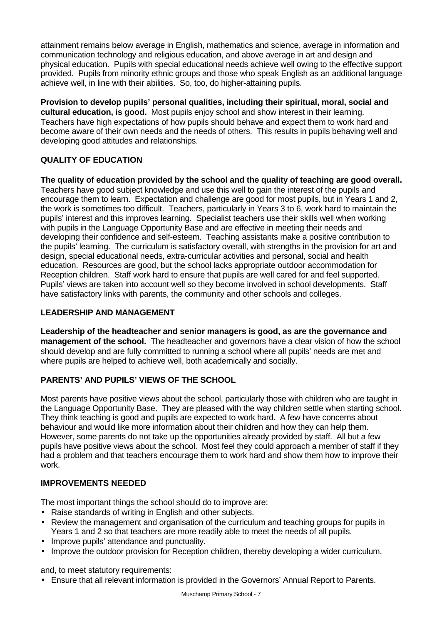attainment remains below average in English, mathematics and science, average in information and communication technology and religious education, and above average in art and design and physical education. Pupils with special educational needs achieve well owing to the effective support provided. Pupils from minority ethnic groups and those who speak English as an additional language achieve well, in line with their abilities. So, too, do higher-attaining pupils.

**Provision to develop pupils' personal qualities, including their spiritual, moral, social and cultural education, is good.** Most pupils enjoy school and show interest in their learning. Teachers have high expectations of how pupils should behave and expect them to work hard and become aware of their own needs and the needs of others. This results in pupils behaving well and developing good attitudes and relationships.

# **QUALITY OF EDUCATION**

**The quality of education provided by the school and the quality of teaching are good overall.** Teachers have good subject knowledge and use this well to gain the interest of the pupils and encourage them to learn. Expectation and challenge are good for most pupils, but in Years 1 and 2, the work is sometimes too difficult. Teachers, particularly in Years 3 to 6, work hard to maintain the pupils' interest and this improves learning. Specialist teachers use their skills well when working with pupils in the Language Opportunity Base and are effective in meeting their needs and developing their confidence and self-esteem. Teaching assistants make a positive contribution to the pupils' learning. The curriculum is satisfactory overall, with strengths in the provision for art and design, special educational needs, extra-curricular activities and personal, social and health education. Resources are good, but the school lacks appropriate outdoor accommodation for Reception children. Staff work hard to ensure that pupils are well cared for and feel supported. Pupils' views are taken into account well so they become involved in school developments. Staff have satisfactory links with parents, the community and other schools and colleges.

# **LEADERSHIP AND MANAGEMENT**

**Leadership of the headteacher and senior managers is good, as are the governance and management of the school.** The headteacher and governors have a clear vision of how the school should develop and are fully committed to running a school where all pupils' needs are met and where pupils are helped to achieve well, both academically and socially.

# **PARENTS' AND PUPILS' VIEWS OF THE SCHOOL**

Most parents have positive views about the school, particularly those with children who are taught in the Language Opportunity Base. They are pleased with the way children settle when starting school. They think teaching is good and pupils are expected to work hard. A few have concerns about behaviour and would like more information about their children and how they can help them. However, some parents do not take up the opportunities already provided by staff. All but a few pupils have positive views about the school. Most feel they could approach a member of staff if they had a problem and that teachers encourage them to work hard and show them how to improve their work.

#### **IMPROVEMENTS NEEDED**

The most important things the school should do to improve are:

- Raise standards of writing in English and other subjects.
- Review the management and organisation of the curriculum and teaching groups for pupils in Years 1 and 2 so that teachers are more readily able to meet the needs of all pupils.
- Improve pupils' attendance and punctuality.
- Improve the outdoor provision for Reception children, thereby developing a wider curriculum.

and, to meet statutory requirements:

• Ensure that all relevant information is provided in the Governors' Annual Report to Parents.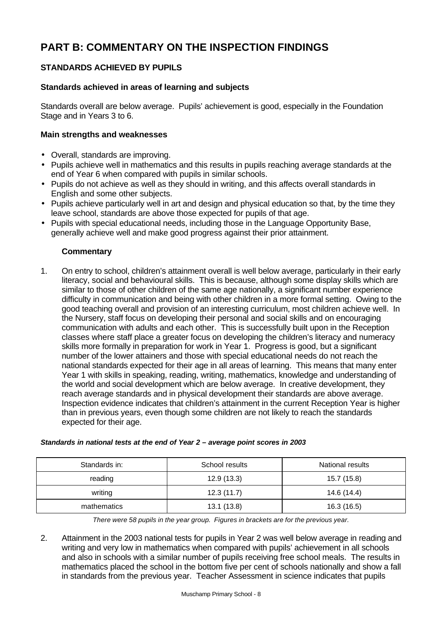# **PART B: COMMENTARY ON THE INSPECTION FINDINGS**

# **STANDARDS ACHIEVED BY PUPILS**

#### **Standards achieved in areas of learning and subjects**

Standards overall are below average. Pupils' achievement is good, especially in the Foundation Stage and in Years 3 to 6.

#### **Main strengths and weaknesses**

- Overall, standards are improving.
- Pupils achieve well in mathematics and this results in pupils reaching average standards at the end of Year 6 when compared with pupils in similar schools.
- Pupils do not achieve as well as they should in writing, and this affects overall standards in English and some other subjects.
- Pupils achieve particularly well in art and design and physical education so that, by the time they leave school, standards are above those expected for pupils of that age.
- Pupils with special educational needs, including those in the Language Opportunity Base, generally achieve well and make good progress against their prior attainment.

#### **Commentary**

1. On entry to school, children's attainment overall is well below average, particularly in their early literacy, social and behavioural skills. This is because, although some display skills which are similar to those of other children of the same age nationally, a significant number experience difficulty in communication and being with other children in a more formal setting. Owing to the good teaching overall and provision of an interesting curriculum, most children achieve well. In the Nursery, staff focus on developing their personal and social skills and on encouraging communication with adults and each other. This is successfully built upon in the Reception classes where staff place a greater focus on developing the children's literacy and numeracy skills more formally in preparation for work in Year 1. Progress is good, but a significant number of the lower attainers and those with special educational needs do not reach the national standards expected for their age in all areas of learning. This means that many enter Year 1 with skills in speaking, reading, writing, mathematics, knowledge and understanding of the world and social development which are below average. In creative development, they reach average standards and in physical development their standards are above average. Inspection evidence indicates that children's attainment in the current Reception Year is higher than in previous years, even though some children are not likely to reach the standards expected for their age.

| Standards in: | School results | National results |  |  |
|---------------|----------------|------------------|--|--|
| reading       | 12.9(13.3)     | 15.7 (15.8)      |  |  |
| writing       | 12.3(11.7)     | 14.6 (14.4)      |  |  |
| mathematics   | 13.1(13.8)     | 16.3 (16.5)      |  |  |

#### *Standards in national tests at the end of Year 2 – average point scores in 2003*

*There were 58 pupils in the year group. Figures in brackets are for the previous year.*

2. Attainment in the 2003 national tests for pupils in Year 2 was well below average in reading and writing and very low in mathematics when compared with pupils' achievement in all schools and also in schools with a similar number of pupils receiving free school meals. The results in mathematics placed the school in the bottom five per cent of schools nationally and show a fall in standards from the previous year. Teacher Assessment in science indicates that pupils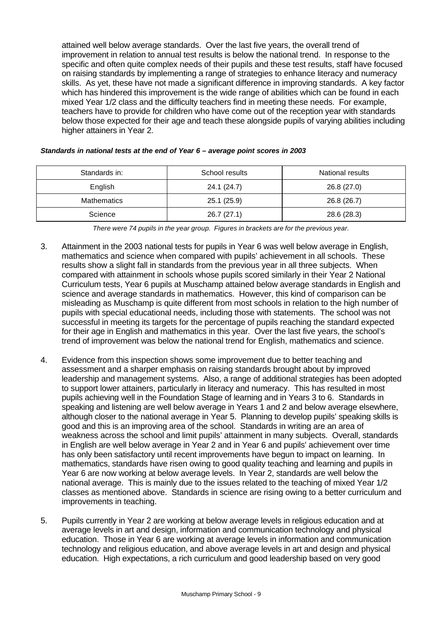attained well below average standards. Over the last five years, the overall trend of improvement in relation to annual test results is below the national trend. In response to the specific and often quite complex needs of their pupils and these test results, staff have focused on raising standards by implementing a range of strategies to enhance literacy and numeracy skills. As yet, these have not made a significant difference in improving standards. A key factor which has hindered this improvement is the wide range of abilities which can be found in each mixed Year 1/2 class and the difficulty teachers find in meeting these needs. For example, teachers have to provide for children who have come out of the reception year with standards below those expected for their age and teach these alongside pupils of varying abilities including higher attainers in Year 2.

| Standards in: | School results | National results |
|---------------|----------------|------------------|
| English       | 24.1 (24.7)    | 26.8 (27.0)      |
| Mathematics   | 25.1 (25.9)    | 26.8 (26.7)      |
| Science       | 26.7(27.1)     | 28.6 (28.3)      |

#### *Standards in national tests at the end of Year 6 – average point scores in 2003*

*There were 74 pupils in the year group. Figures in brackets are for the previous year.*

- 3. Attainment in the 2003 national tests for pupils in Year 6 was well below average in English, mathematics and science when compared with pupils' achievement in all schools. These results show a slight fall in standards from the previous year in all three subjects. When compared with attainment in schools whose pupils scored similarly in their Year 2 National Curriculum tests, Year 6 pupils at Muschamp attained below average standards in English and science and average standards in mathematics. However, this kind of comparison can be misleading as Muschamp is quite different from most schools in relation to the high number of pupils with special educational needs, including those with statements. The school was not successful in meeting its targets for the percentage of pupils reaching the standard expected for their age in English and mathematics in this year. Over the last five years, the school's trend of improvement was below the national trend for English, mathematics and science.
- 4. Evidence from this inspection shows some improvement due to better teaching and assessment and a sharper emphasis on raising standards brought about by improved leadership and management systems. Also, a range of additional strategies has been adopted to support lower attainers, particularly in literacy and numeracy. This has resulted in most pupils achieving well in the Foundation Stage of learning and in Years 3 to 6. Standards in speaking and listening are well below average in Years 1 and 2 and below average elsewhere, although closer to the national average in Year 5. Planning to develop pupils' speaking skills is good and this is an improving area of the school. Standards in writing are an area of weakness across the school and limit pupils' attainment in many subjects. Overall, standards in English are well below average in Year 2 and in Year 6 and pupils' achievement over time has only been satisfactory until recent improvements have begun to impact on learning. In mathematics, standards have risen owing to good quality teaching and learning and pupils in Year 6 are now working at below average levels. In Year 2, standards are well below the national average. This is mainly due to the issues related to the teaching of mixed Year 1/2 classes as mentioned above. Standards in science are rising owing to a better curriculum and improvements in teaching.
- 5. Pupils currently in Year 2 are working at below average levels in religious education and at average levels in art and design, information and communication technology and physical education. Those in Year 6 are working at average levels in information and communication technology and religious education, and above average levels in art and design and physical education. High expectations, a rich curriculum and good leadership based on very good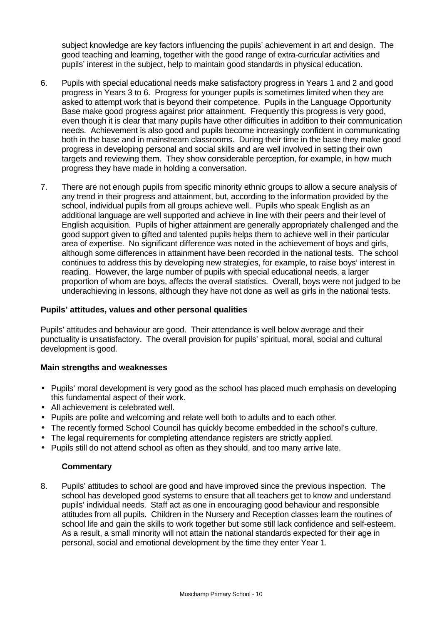subject knowledge are key factors influencing the pupils' achievement in art and design. The good teaching and learning, together with the good range of extra-curricular activities and pupils' interest in the subject, help to maintain good standards in physical education.

- 6. Pupils with special educational needs make satisfactory progress in Years 1 and 2 and good progress in Years 3 to 6. Progress for younger pupils is sometimes limited when they are asked to attempt work that is beyond their competence. Pupils in the Language Opportunity Base make good progress against prior attainment. Frequently this progress is very good, even though it is clear that many pupils have other difficulties in addition to their communication needs. Achievement is also good and pupils become increasingly confident in communicating both in the base and in mainstream classrooms. During their time in the base they make good progress in developing personal and social skills and are well involved in setting their own targets and reviewing them. They show considerable perception, for example, in how much progress they have made in holding a conversation.
- 7. There are not enough pupils from specific minority ethnic groups to allow a secure analysis of any trend in their progress and attainment, but, according to the information provided by the school, individual pupils from all groups achieve well. Pupils who speak English as an additional language are well supported and achieve in line with their peers and their level of English acquisition. Pupils of higher attainment are generally appropriately challenged and the good support given to gifted and talented pupils helps them to achieve well in their particular area of expertise. No significant difference was noted in the achievement of boys and girls, although some differences in attainment have been recorded in the national tests. The school continues to address this by developing new strategies, for example, to raise boys' interest in reading. However, the large number of pupils with special educational needs, a larger proportion of whom are boys, affects the overall statistics. Overall, boys were not judged to be underachieving in lessons, although they have not done as well as girls in the national tests.

#### **Pupils' attitudes, values and other personal qualities**

Pupils' attitudes and behaviour are good. Their attendance is well below average and their punctuality is unsatisfactory. The overall provision for pupils' spiritual, moral, social and cultural development is good.

#### **Main strengths and weaknesses**

- Pupils' moral development is very good as the school has placed much emphasis on developing this fundamental aspect of their work.
- All achievement is celebrated well.
- Pupils are polite and welcoming and relate well both to adults and to each other.
- The recently formed School Council has quickly become embedded in the school's culture.
- The legal requirements for completing attendance registers are strictly applied.
- Pupils still do not attend school as often as they should, and too many arrive late.

# **Commentary**

8. Pupils' attitudes to school are good and have improved since the previous inspection. The school has developed good systems to ensure that all teachers get to know and understand pupils' individual needs. Staff act as one in encouraging good behaviour and responsible attitudes from all pupils. Children in the Nursery and Reception classes learn the routines of school life and gain the skills to work together but some still lack confidence and self-esteem. As a result, a small minority will not attain the national standards expected for their age in personal, social and emotional development by the time they enter Year 1.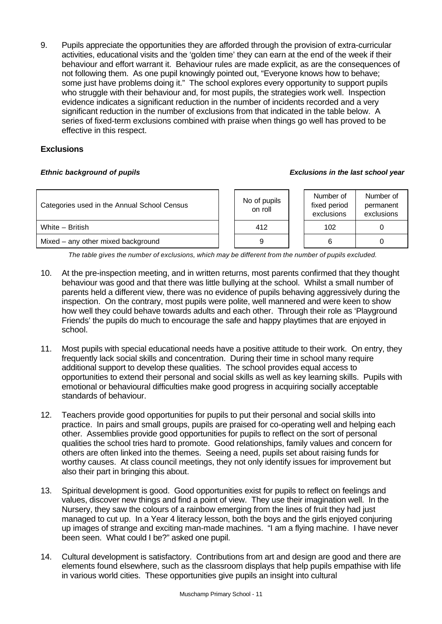9. Pupils appreciate the opportunities they are afforded through the provision of extra-curricular activities, educational visits and the 'golden time' they can earn at the end of the week if their behaviour and effort warrant it. Behaviour rules are made explicit, as are the consequences of not following them. As one pupil knowingly pointed out, "Everyone knows how to behave; some just have problems doing it." The school explores every opportunity to support pupils who struggle with their behaviour and, for most pupils, the strategies work well. Inspection evidence indicates a significant reduction in the number of incidents recorded and a very significant reduction in the number of exclusions from that indicated in the table below. A series of fixed-term exclusions combined with praise when things go well has proved to be effective in this respect.

#### **Exclusions**

#### *Ethnic background of pupils Exclusions in the last school year*

| Categories used in the Annual School Census |  | No of pupils<br>on roll | Number of<br>fixed period<br>exclusions | Number of<br>permanent<br>exclusions |
|---------------------------------------------|--|-------------------------|-----------------------------------------|--------------------------------------|
| White - British                             |  | 412                     | 102                                     |                                      |
| Mixed - any other mixed background          |  |                         |                                         |                                      |

*The table gives the number of exclusions, which may be different from the number of pupils excluded.*

- 10. At the pre-inspection meeting, and in written returns, most parents confirmed that they thought behaviour was good and that there was little bullying at the school. Whilst a small number of parents held a different view, there was no evidence of pupils behaving aggressively during the inspection. On the contrary, most pupils were polite, well mannered and were keen to show how well they could behave towards adults and each other. Through their role as 'Playground Friends' the pupils do much to encourage the safe and happy playtimes that are enjoyed in school.
- 11. Most pupils with special educational needs have a positive attitude to their work. On entry, they frequently lack social skills and concentration. During their time in school many require additional support to develop these qualities. The school provides equal access to opportunities to extend their personal and social skills as well as key learning skills. Pupils with emotional or behavioural difficulties make good progress in acquiring socially acceptable standards of behaviour.
- 12. Teachers provide good opportunities for pupils to put their personal and social skills into practice. In pairs and small groups, pupils are praised for co-operating well and helping each other. Assemblies provide good opportunities for pupils to reflect on the sort of personal qualities the school tries hard to promote. Good relationships, family values and concern for others are often linked into the themes. Seeing a need, pupils set about raising funds for worthy causes. At class council meetings, they not only identify issues for improvement but also their part in bringing this about.
- 13. Spiritual development is good. Good opportunities exist for pupils to reflect on feelings and values, discover new things and find a point of view. They use their imagination well. In the Nursery, they saw the colours of a rainbow emerging from the lines of fruit they had just managed to cut up. In a Year 4 literacy lesson, both the boys and the girls enjoyed conjuring up images of strange and exciting man-made machines. "I am a flying machine. I have never been seen. What could I be?" asked one pupil.
- 14. Cultural development is satisfactory. Contributions from art and design are good and there are elements found elsewhere, such as the classroom displays that help pupils empathise with life in various world cities. These opportunities give pupils an insight into cultural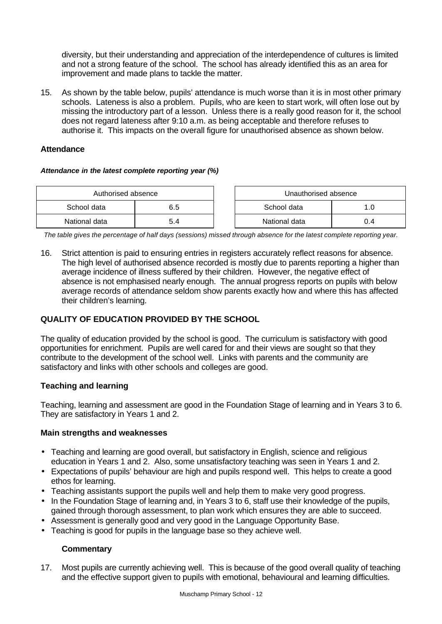diversity, but their understanding and appreciation of the interdependence of cultures is limited and not a strong feature of the school. The school has already identified this as an area for improvement and made plans to tackle the matter.

15. As shown by the table below, pupils' attendance is much worse than it is in most other primary schools. Lateness is also a problem. Pupils, who are keen to start work, will often lose out by missing the introductory part of a lesson. Unless there is a really good reason for it, the school does not regard lateness after 9:10 a.m. as being acceptable and therefore refuses to authorise it. This impacts on the overall figure for unauthorised absence as shown below.

#### **Attendance**

#### *Attendance in the latest complete reporting year (%)*

| Authorised absence |     |  | Unauthorised absence |     |  |  |
|--------------------|-----|--|----------------------|-----|--|--|
| School data        | 6.5 |  | School data<br>.O    |     |  |  |
| National data      | 5.4 |  | National data        | 0.4 |  |  |

*The table gives the percentage of half days (sessions) missed through absence for the latest complete reporting year.*

16. Strict attention is paid to ensuring entries in registers accurately reflect reasons for absence. The high level of authorised absence recorded is mostly due to parents reporting a higher than average incidence of illness suffered by their children. However, the negative effect of absence is not emphasised nearly enough. The annual progress reports on pupils with below average records of attendance seldom show parents exactly how and where this has affected their children's learning.

# **QUALITY OF EDUCATION PROVIDED BY THE SCHOOL**

The quality of education provided by the school is good. The curriculum is satisfactory with good opportunities for enrichment. Pupils are well cared for and their views are sought so that they contribute to the development of the school well. Links with parents and the community are satisfactory and links with other schools and colleges are good.

# **Teaching and learning**

Teaching, learning and assessment are good in the Foundation Stage of learning and in Years 3 to 6. They are satisfactory in Years 1 and 2.

#### **Main strengths and weaknesses**

- Teaching and learning are good overall, but satisfactory in English, science and religious education in Years 1 and 2. Also, some unsatisfactory teaching was seen in Years 1 and 2.
- Expectations of pupils' behaviour are high and pupils respond well. This helps to create a good ethos for learning.
- Teaching assistants support the pupils well and help them to make very good progress.
- In the Foundation Stage of learning and, in Years 3 to 6, staff use their knowledge of the pupils, gained through thorough assessment, to plan work which ensures they are able to succeed.
- Assessment is generally good and very good in the Language Opportunity Base.
- Teaching is good for pupils in the language base so they achieve well.

#### **Commentary**

17. Most pupils are currently achieving well. This is because of the good overall quality of teaching and the effective support given to pupils with emotional, behavioural and learning difficulties.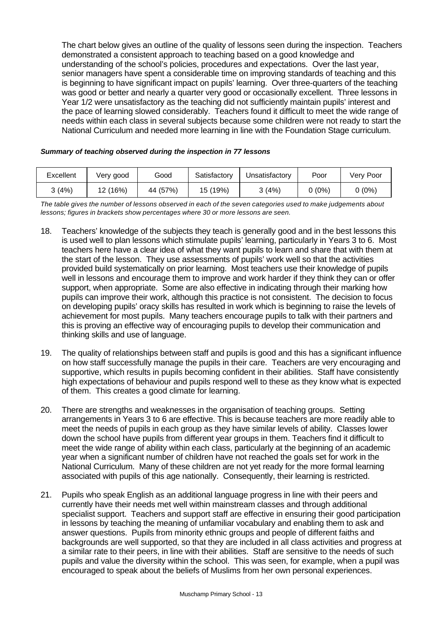The chart below gives an outline of the quality of lessons seen during the inspection. Teachers demonstrated a consistent approach to teaching based on a good knowledge and understanding of the school's policies, procedures and expectations. Over the last year, senior managers have spent a considerable time on improving standards of teaching and this is beginning to have significant impact on pupils' learning. Over three-quarters of the teaching was good or better and nearly a quarter very good or occasionally excellent. Three lessons in Year 1/2 were unsatisfactory as the teaching did not sufficiently maintain pupils' interest and the pace of learning slowed considerably. Teachers found it difficult to meet the wide range of needs within each class in several subjects because some children were not ready to start the National Curriculum and needed more learning in line with the Foundation Stage curriculum.

| Excellent | Very good | Good     | Satisfactory | Jnsatisfactory | Poor     | Verv Poor |
|-----------|-----------|----------|--------------|----------------|----------|-----------|
| (4%) د    | 12 (16%)  | 44 (57%) | 15 (19%)     | (4%)           | $0(0\%)$ | ს (0%)    |

*The table gives the number of lessons observed in each of the seven categories used to make judgements about lessons; figures in brackets show percentages where 30 or more lessons are seen.*

- 18. Teachers' knowledge of the subjects they teach is generally good and in the best lessons this is used well to plan lessons which stimulate pupils' learning, particularly in Years 3 to 6. Most teachers here have a clear idea of what they want pupils to learn and share that with them at the start of the lesson. They use assessments of pupils' work well so that the activities provided build systematically on prior learning. Most teachers use their knowledge of pupils well in lessons and encourage them to improve and work harder if they think they can or offer support, when appropriate. Some are also effective in indicating through their marking how pupils can improve their work, although this practice is not consistent. The decision to focus on developing pupils' oracy skills has resulted in work which is beginning to raise the levels of achievement for most pupils. Many teachers encourage pupils to talk with their partners and this is proving an effective way of encouraging pupils to develop their communication and thinking skills and use of language.
- 19. The quality of relationships between staff and pupils is good and this has a significant influence on how staff successfully manage the pupils in their care. Teachers are very encouraging and supportive, which results in pupils becoming confident in their abilities. Staff have consistently high expectations of behaviour and pupils respond well to these as they know what is expected of them. This creates a good climate for learning.
- 20. There are strengths and weaknesses in the organisation of teaching groups. Setting arrangements in Years 3 to 6 are effective. This is because teachers are more readily able to meet the needs of pupils in each group as they have similar levels of ability. Classes lower down the school have pupils from different year groups in them. Teachers find it difficult to meet the wide range of ability within each class, particularly at the beginning of an academic year when a significant number of children have not reached the goals set for work in the National Curriculum. Many of these children are not yet ready for the more formal learning associated with pupils of this age nationally. Consequently, their learning is restricted.
- 21. Pupils who speak English as an additional language progress in line with their peers and currently have their needs met well within mainstream classes and through additional specialist support. Teachers and support staff are effective in ensuring their good participation in lessons by teaching the meaning of unfamiliar vocabulary and enabling them to ask and answer questions. Pupils from minority ethnic groups and people of different faiths and backgrounds are well supported, so that they are included in all class activities and progress at a similar rate to their peers, in line with their abilities. Staff are sensitive to the needs of such pupils and value the diversity within the school. This was seen, for example, when a pupil was encouraged to speak about the beliefs of Muslims from her own personal experiences.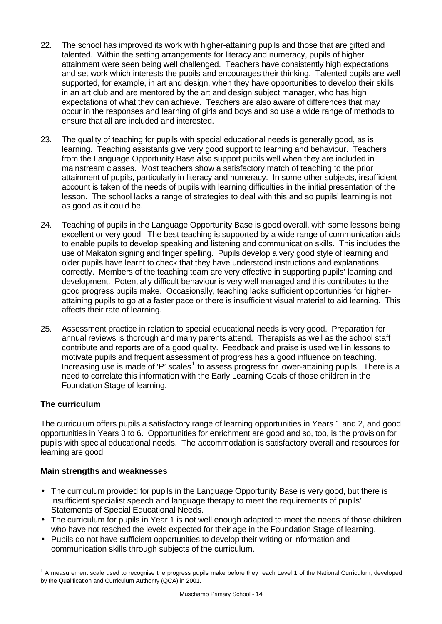- 22. The school has improved its work with higher-attaining pupils and those that are gifted and talented. Within the setting arrangements for literacy and numeracy, pupils of higher attainment were seen being well challenged. Teachers have consistently high expectations and set work which interests the pupils and encourages their thinking. Talented pupils are well supported, for example, in art and design, when they have opportunities to develop their skills in an art club and are mentored by the art and design subject manager, who has high expectations of what they can achieve. Teachers are also aware of differences that may occur in the responses and learning of girls and boys and so use a wide range of methods to ensure that all are included and interested.
- 23. The quality of teaching for pupils with special educational needs is generally good, as is learning. Teaching assistants give very good support to learning and behaviour. Teachers from the Language Opportunity Base also support pupils well when they are included in mainstream classes. Most teachers show a satisfactory match of teaching to the prior attainment of pupils, particularly in literacy and numeracy. In some other subjects, insufficient account is taken of the needs of pupils with learning difficulties in the initial presentation of the lesson. The school lacks a range of strategies to deal with this and so pupils' learning is not as good as it could be.
- 24. Teaching of pupils in the Language Opportunity Base is good overall, with some lessons being excellent or very good. The best teaching is supported by a wide range of communication aids to enable pupils to develop speaking and listening and communication skills. This includes the use of Makaton signing and finger spelling. Pupils develop a very good style of learning and older pupils have learnt to check that they have understood instructions and explanations correctly. Members of the teaching team are very effective in supporting pupils' learning and development. Potentially difficult behaviour is very well managed and this contributes to the good progress pupils make. Occasionally, teaching lacks sufficient opportunities for higherattaining pupils to go at a faster pace or there is insufficient visual material to aid learning. This affects their rate of learning.
- 25. Assessment practice in relation to special educational needs is very good. Preparation for annual reviews is thorough and many parents attend. Therapists as well as the school staff contribute and reports are of a good quality. Feedback and praise is used well in lessons to motivate pupils and frequent assessment of progress has a good influence on teaching. Increasing use is made of 'P' scales<sup>1</sup> to assess progress for lower-attaining pupils. There is a need to correlate this information with the Early Learning Goals of those children in the Foundation Stage of learning.

# **The curriculum**

The curriculum offers pupils a satisfactory range of learning opportunities in Years 1 and 2, and good opportunities in Years 3 to 6. Opportunities for enrichment are good and so, too, is the provision for pupils with special educational needs. The accommodation is satisfactory overall and resources for learning are good.

# **Main strengths and weaknesses**

- The curriculum provided for pupils in the Language Opportunity Base is very good, but there is insufficient specialist speech and language therapy to meet the requirements of pupils' Statements of Special Educational Needs.
- The curriculum for pupils in Year 1 is not well enough adapted to meet the needs of those children who have not reached the levels expected for their age in the Foundation Stage of learning.
- Pupils do not have sufficient opportunities to develop their writing or information and communication skills through subjects of the curriculum.

 <sup>1</sup> A measurement scale used to recognise the progress pupils make before they reach Level 1 of the National Curriculum, developed by the Qualification and Curriculum Authority (QCA) in 2001.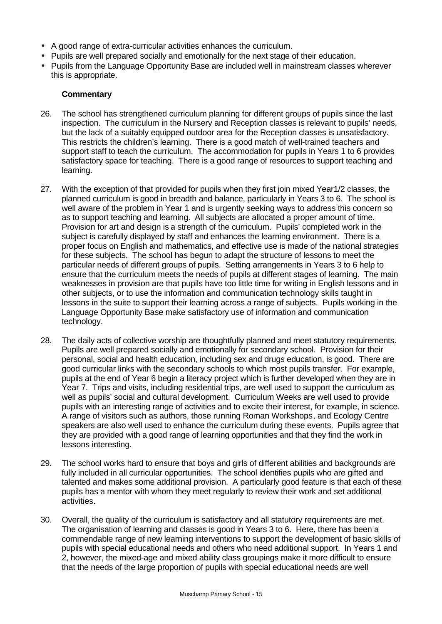- A good range of extra-curricular activities enhances the curriculum.
- Pupils are well prepared socially and emotionally for the next stage of their education.
- Pupils from the Language Opportunity Base are included well in mainstream classes wherever this is appropriate.

- 26. The school has strengthened curriculum planning for different groups of pupils since the last inspection. The curriculum in the Nursery and Reception classes is relevant to pupils' needs, but the lack of a suitably equipped outdoor area for the Reception classes is unsatisfactory. This restricts the children's learning. There is a good match of well-trained teachers and support staff to teach the curriculum. The accommodation for pupils in Years 1 to 6 provides satisfactory space for teaching. There is a good range of resources to support teaching and learning.
- 27. With the exception of that provided for pupils when they first join mixed Year1/2 classes, the planned curriculum is good in breadth and balance, particularly in Years 3 to 6. The school is well aware of the problem in Year 1 and is urgently seeking ways to address this concern so as to support teaching and learning. All subjects are allocated a proper amount of time. Provision for art and design is a strength of the curriculum. Pupils' completed work in the subject is carefully displayed by staff and enhances the learning environment. There is a proper focus on English and mathematics, and effective use is made of the national strategies for these subjects. The school has begun to adapt the structure of lessons to meet the particular needs of different groups of pupils. Setting arrangements in Years 3 to 6 help to ensure that the curriculum meets the needs of pupils at different stages of learning. The main weaknesses in provision are that pupils have too little time for writing in English lessons and in other subjects, or to use the information and communication technology skills taught in lessons in the suite to support their learning across a range of subjects. Pupils working in the Language Opportunity Base make satisfactory use of information and communication technology.
- 28. The daily acts of collective worship are thoughtfully planned and meet statutory requirements. Pupils are well prepared socially and emotionally for secondary school. Provision for their personal, social and health education, including sex and drugs education, is good. There are good curricular links with the secondary schools to which most pupils transfer. For example, pupils at the end of Year 6 begin a literacy project which is further developed when they are in Year 7. Trips and visits, including residential trips, are well used to support the curriculum as well as pupils' social and cultural development. Curriculum Weeks are well used to provide pupils with an interesting range of activities and to excite their interest, for example, in science. A range of visitors such as authors, those running Roman Workshops, and Ecology Centre speakers are also well used to enhance the curriculum during these events. Pupils agree that they are provided with a good range of learning opportunities and that they find the work in lessons interesting.
- 29. The school works hard to ensure that boys and girls of different abilities and backgrounds are fully included in all curricular opportunities. The school identifies pupils who are gifted and talented and makes some additional provision. A particularly good feature is that each of these pupils has a mentor with whom they meet regularly to review their work and set additional activities.
- 30. Overall, the quality of the curriculum is satisfactory and all statutory requirements are met. The organisation of learning and classes is good in Years 3 to 6. Here, there has been a commendable range of new learning interventions to support the development of basic skills of pupils with special educational needs and others who need additional support. In Years 1 and 2, however, the mixed-age and mixed ability class groupings make it more difficult to ensure that the needs of the large proportion of pupils with special educational needs are well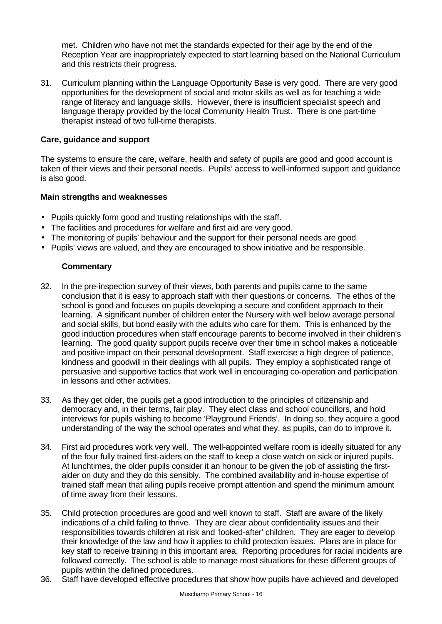met. Children who have not met the standards expected for their age by the end of the Reception Year are inappropriately expected to start learning based on the National Curriculum and this restricts their progress.

31. Curriculum planning within the Language Opportunity Base is very good. There are very good opportunities for the development of social and motor skills as well as for teaching a wide range of literacy and language skills. However, there is insufficient specialist speech and language therapy provided by the local Community Health Trust. There is one part-time therapist instead of two full-time therapists.

#### **Care, guidance and support**

The systems to ensure the care, welfare, health and safety of pupils are good and good account is taken of their views and their personal needs. Pupils' access to well-informed support and guidance is also good.

#### **Main strengths and weaknesses**

- Pupils quickly form good and trusting relationships with the staff.
- The facilities and procedures for welfare and first aid are very good.
- The monitoring of pupils' behaviour and the support for their personal needs are good.
- Pupils' views are valued, and they are encouraged to show initiative and be responsible.

- 32. In the pre-inspection survey of their views, both parents and pupils came to the same conclusion that it is easy to approach staff with their questions or concerns. The ethos of the school is good and focuses on pupils developing a secure and confident approach to their learning. A significant number of children enter the Nursery with well below average personal and social skills, but bond easily with the adults who care for them. This is enhanced by the good induction procedures when staff encourage parents to become involved in their children's learning. The good quality support pupils receive over their time in school makes a noticeable and positive impact on their personal development. Staff exercise a high degree of patience, kindness and goodwill in their dealings with all pupils. They employ a sophisticated range of persuasive and supportive tactics that work well in encouraging co-operation and participation in lessons and other activities.
- 33. As they get older, the pupils get a good introduction to the principles of citizenship and democracy and, in their terms, fair play. They elect class and school councillors, and hold interviews for pupils wishing to become 'Playground Friends'. In doing so, they acquire a good understanding of the way the school operates and what they, as pupils, can do to improve it.
- 34. First aid procedures work very well. The well-appointed welfare room is ideally situated for any of the four fully trained first-aiders on the staff to keep a close watch on sick or injured pupils. At lunchtimes, the older pupils consider it an honour to be given the job of assisting the firstaider on duty and they do this sensibly. The combined availability and in-house expertise of trained staff mean that ailing pupils receive prompt attention and spend the minimum amount of time away from their lessons.
- 35. Child protection procedures are good and well known to staff. Staff are aware of the likely indications of a child failing to thrive. They are clear about confidentiality issues and their responsibilities towards children at risk and 'looked-after' children. They are eager to develop their knowledge of the law and how it applies to child protection issues. Plans are in place for key staff to receive training in this important area. Reporting procedures for racial incidents are followed correctly. The school is able to manage most situations for these different groups of pupils within the defined procedures.
- 36. Staff have developed effective procedures that show how pupils have achieved and developed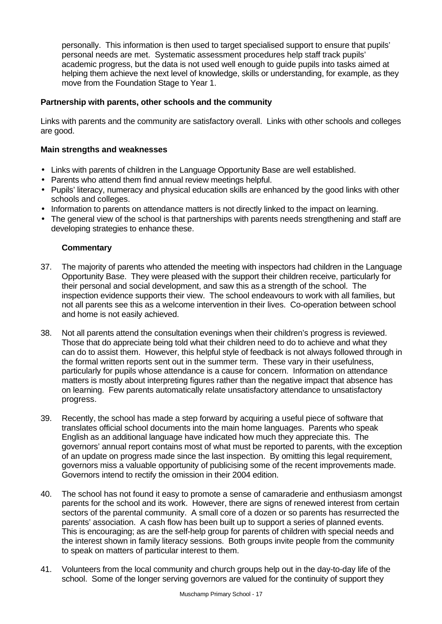personally. This information is then used to target specialised support to ensure that pupils' personal needs are met. Systematic assessment procedures help staff track pupils' academic progress, but the data is not used well enough to guide pupils into tasks aimed at helping them achieve the next level of knowledge, skills or understanding, for example, as they move from the Foundation Stage to Year 1.

#### **Partnership with parents, other schools and the community**

Links with parents and the community are satisfactory overall. Links with other schools and colleges are good.

#### **Main strengths and weaknesses**

- Links with parents of children in the Language Opportunity Base are well established.
- Parents who attend them find annual review meetings helpful.
- Pupils' literacy, numeracy and physical education skills are enhanced by the good links with other schools and colleges.
- Information to parents on attendance matters is not directly linked to the impact on learning.
- The general view of the school is that partnerships with parents needs strengthening and staff are developing strategies to enhance these.

- 37. The majority of parents who attended the meeting with inspectors had children in the Language Opportunity Base. They were pleased with the support their children receive, particularly for their personal and social development, and saw this as a strength of the school. The inspection evidence supports their view. The school endeavours to work with all families, but not all parents see this as a welcome intervention in their lives. Co-operation between school and home is not easily achieved.
- 38. Not all parents attend the consultation evenings when their children's progress is reviewed. Those that do appreciate being told what their children need to do to achieve and what they can do to assist them. However, this helpful style of feedback is not always followed through in the formal written reports sent out in the summer term. These vary in their usefulness, particularly for pupils whose attendance is a cause for concern. Information on attendance matters is mostly about interpreting figures rather than the negative impact that absence has on learning. Few parents automatically relate unsatisfactory attendance to unsatisfactory progress.
- 39. Recently, the school has made a step forward by acquiring a useful piece of software that translates official school documents into the main home languages. Parents who speak English as an additional language have indicated how much they appreciate this. The governors' annual report contains most of what must be reported to parents, with the exception of an update on progress made since the last inspection. By omitting this legal requirement, governors miss a valuable opportunity of publicising some of the recent improvements made. Governors intend to rectify the omission in their 2004 edition.
- 40. The school has not found it easy to promote a sense of camaraderie and enthusiasm amongst parents for the school and its work. However, there are signs of renewed interest from certain sectors of the parental community. A small core of a dozen or so parents has resurrected the parents' association. A cash flow has been built up to support a series of planned events. This is encouraging; as are the self-help group for parents of children with special needs and the interest shown in family literacy sessions. Both groups invite people from the community to speak on matters of particular interest to them.
- 41. Volunteers from the local community and church groups help out in the day-to-day life of the school. Some of the longer serving governors are valued for the continuity of support they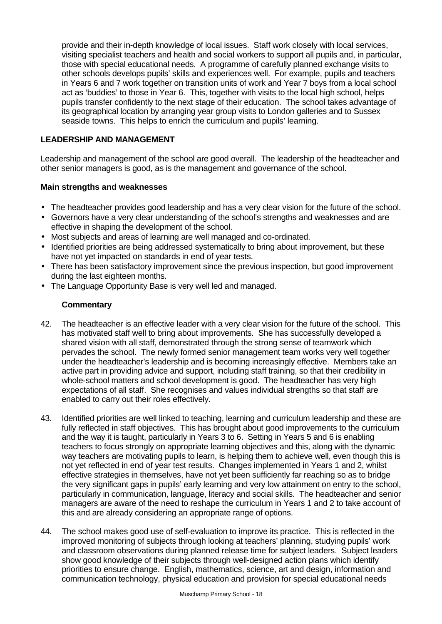provide and their in-depth knowledge of local issues. Staff work closely with local services, visiting specialist teachers and health and social workers to support all pupils and, in particular, those with special educational needs. A programme of carefully planned exchange visits to other schools develops pupils' skills and experiences well. For example, pupils and teachers in Years 6 and 7 work together on transition units of work and Year 7 boys from a local school act as 'buddies' to those in Year 6. This, together with visits to the local high school, helps pupils transfer confidently to the next stage of their education. The school takes advantage of its geographical location by arranging year group visits to London galleries and to Sussex seaside towns. This helps to enrich the curriculum and pupils' learning.

## **LEADERSHIP AND MANAGEMENT**

Leadership and management of the school are good overall. The leadership of the headteacher and other senior managers is good, as is the management and governance of the school.

#### **Main strengths and weaknesses**

- The headteacher provides good leadership and has a very clear vision for the future of the school.
- Governors have a very clear understanding of the school's strengths and weaknesses and are effective in shaping the development of the school.
- Most subjects and areas of learning are well managed and co-ordinated.
- Identified priorities are being addressed systematically to bring about improvement, but these have not yet impacted on standards in end of year tests.
- There has been satisfactory improvement since the previous inspection, but good improvement during the last eighteen months.
- The Language Opportunity Base is very well led and managed.

- 42. The headteacher is an effective leader with a very clear vision for the future of the school. This has motivated staff well to bring about improvements. She has successfully developed a shared vision with all staff, demonstrated through the strong sense of teamwork which pervades the school. The newly formed senior management team works very well together under the headteacher's leadership and is becoming increasingly effective. Members take an active part in providing advice and support, including staff training, so that their credibility in whole-school matters and school development is good. The headteacher has very high expectations of all staff. She recognises and values individual strengths so that staff are enabled to carry out their roles effectively.
- 43. Identified priorities are well linked to teaching, learning and curriculum leadership and these are fully reflected in staff objectives. This has brought about good improvements to the curriculum and the way it is taught, particularly in Years 3 to 6. Setting in Years 5 and 6 is enabling teachers to focus strongly on appropriate learning objectives and this, along with the dynamic way teachers are motivating pupils to learn, is helping them to achieve well, even though this is not yet reflected in end of year test results. Changes implemented in Years 1 and 2, whilst effective strategies in themselves, have not yet been sufficiently far reaching so as to bridge the very significant gaps in pupils' early learning and very low attainment on entry to the school, particularly in communication, language, literacy and social skills. The headteacher and senior managers are aware of the need to reshape the curriculum in Years 1 and 2 to take account of this and are already considering an appropriate range of options.
- 44. The school makes good use of self-evaluation to improve its practice. This is reflected in the improved monitoring of subjects through looking at teachers' planning, studying pupils' work and classroom observations during planned release time for subject leaders. Subject leaders show good knowledge of their subjects through well-designed action plans which identify priorities to ensure change. English, mathematics, science, art and design, information and communication technology, physical education and provision for special educational needs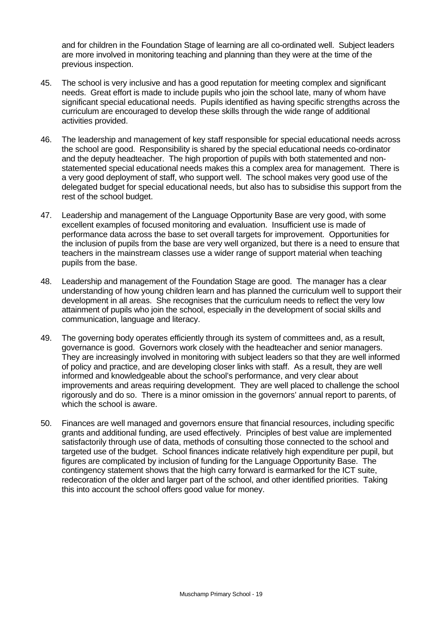and for children in the Foundation Stage of learning are all co-ordinated well. Subject leaders are more involved in monitoring teaching and planning than they were at the time of the previous inspection.

- 45. The school is very inclusive and has a good reputation for meeting complex and significant needs. Great effort is made to include pupils who join the school late, many of whom have significant special educational needs. Pupils identified as having specific strengths across the curriculum are encouraged to develop these skills through the wide range of additional activities provided.
- 46. The leadership and management of key staff responsible for special educational needs across the school are good. Responsibility is shared by the special educational needs co-ordinator and the deputy headteacher. The high proportion of pupils with both statemented and nonstatemented special educational needs makes this a complex area for management. There is a very good deployment of staff, who support well. The school makes very good use of the delegated budget for special educational needs, but also has to subsidise this support from the rest of the school budget.
- 47. Leadership and management of the Language Opportunity Base are very good, with some excellent examples of focused monitoring and evaluation. Insufficient use is made of performance data across the base to set overall targets for improvement. Opportunities for the inclusion of pupils from the base are very well organized, but there is a need to ensure that teachers in the mainstream classes use a wider range of support material when teaching pupils from the base.
- 48. Leadership and management of the Foundation Stage are good. The manager has a clear understanding of how young children learn and has planned the curriculum well to support their development in all areas. She recognises that the curriculum needs to reflect the very low attainment of pupils who join the school, especially in the development of social skills and communication, language and literacy.
- 49. The governing body operates efficiently through its system of committees and, as a result, governance is good. Governors work closely with the headteacher and senior managers. They are increasingly involved in monitoring with subject leaders so that they are well informed of policy and practice, and are developing closer links with staff. As a result, they are well informed and knowledgeable about the school's performance, and very clear about improvements and areas requiring development. They are well placed to challenge the school rigorously and do so. There is a minor omission in the governors' annual report to parents, of which the school is aware.
- 50. Finances are well managed and governors ensure that financial resources, including specific grants and additional funding, are used effectively. Principles of best value are implemented satisfactorily through use of data, methods of consulting those connected to the school and targeted use of the budget. School finances indicate relatively high expenditure per pupil, but figures are complicated by inclusion of funding for the Language Opportunity Base. The contingency statement shows that the high carry forward is earmarked for the ICT suite, redecoration of the older and larger part of the school, and other identified priorities. Taking this into account the school offers good value for money.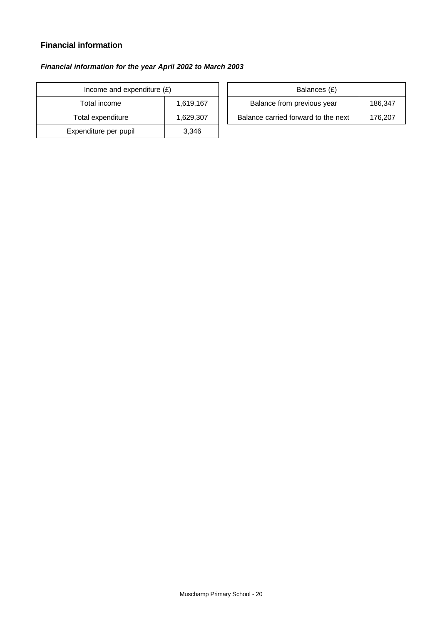# **Financial information**

# *Financial information for the year April 2002 to March 2003*

| Income and expenditure $(E)$ |           |  | Balances (£)                     |
|------------------------------|-----------|--|----------------------------------|
| Total income                 | 1,619,167 |  | Balance from previous year       |
| Total expenditure            | 1,629,307 |  | Balance carried forward to the i |
| Expenditure per pupil        | 3.346     |  |                                  |

| Income and expenditure $(E)$ |           | Balances (£)                        |         |
|------------------------------|-----------|-------------------------------------|---------|
| Total income                 | 1.619.167 | Balance from previous year          | 186.347 |
| Total expenditure            | 1,629,307 | Balance carried forward to the next | 176.207 |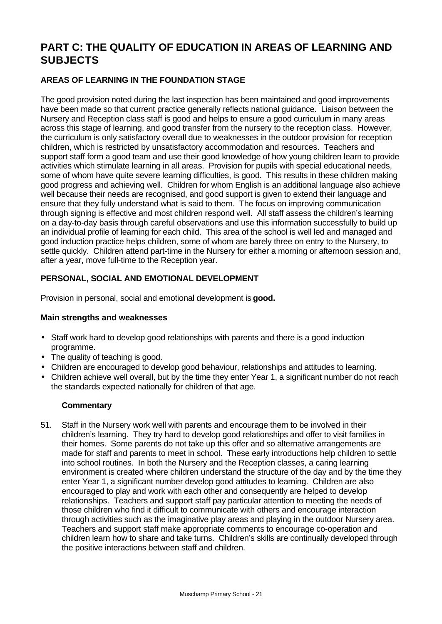# **PART C: THE QUALITY OF EDUCATION IN AREAS OF LEARNING AND SUBJECTS**

# **AREAS OF LEARNING IN THE FOUNDATION STAGE**

The good provision noted during the last inspection has been maintained and good improvements have been made so that current practice generally reflects national guidance. Liaison between the Nursery and Reception class staff is good and helps to ensure a good curriculum in many areas across this stage of learning, and good transfer from the nursery to the reception class. However, the curriculum is only satisfactory overall due to weaknesses in the outdoor provision for reception children, which is restricted by unsatisfactory accommodation and resources. Teachers and support staff form a good team and use their good knowledge of how young children learn to provide activities which stimulate learning in all areas. Provision for pupils with special educational needs, some of whom have quite severe learning difficulties, is good. This results in these children making good progress and achieving well. Children for whom English is an additional language also achieve well because their needs are recognised, and good support is given to extend their language and ensure that they fully understand what is said to them. The focus on improving communication through signing is effective and most children respond well. All staff assess the children's learning on a day-to-day basis through careful observations and use this information successfully to build up an individual profile of learning for each child. This area of the school is well led and managed and good induction practice helps children, some of whom are barely three on entry to the Nursery, to settle quickly. Children attend part-time in the Nursery for either a morning or afternoon session and, after a year, move full-time to the Reception year.

# **PERSONAL, SOCIAL AND EMOTIONAL DEVELOPMENT**

Provision in personal, social and emotional development is **good.**

#### **Main strengths and weaknesses**

- Staff work hard to develop good relationships with parents and there is a good induction programme.
- The quality of teaching is good.
- Children are encouraged to develop good behaviour, relationships and attitudes to learning.
- Children achieve well overall, but by the time they enter Year 1, a significant number do not reach the standards expected nationally for children of that age.

# **Commentary**

51. Staff in the Nursery work well with parents and encourage them to be involved in their children's learning. They try hard to develop good relationships and offer to visit families in their homes. Some parents do not take up this offer and so alternative arrangements are made for staff and parents to meet in school. These early introductions help children to settle into school routines. In both the Nursery and the Reception classes, a caring learning environment is created where children understand the structure of the day and by the time they enter Year 1, a significant number develop good attitudes to learning. Children are also encouraged to play and work with each other and consequently are helped to develop relationships. Teachers and support staff pay particular attention to meeting the needs of those children who find it difficult to communicate with others and encourage interaction through activities such as the imaginative play areas and playing in the outdoor Nursery area. Teachers and support staff make appropriate comments to encourage co-operation and children learn how to share and take turns. Children's skills are continually developed through the positive interactions between staff and children.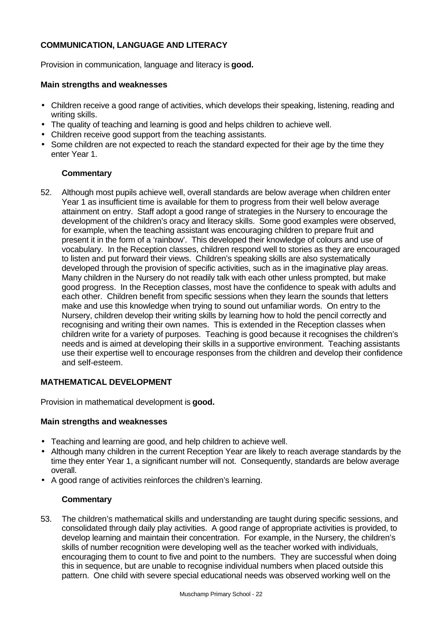# **COMMUNICATION, LANGUAGE AND LITERACY**

Provision in communication, language and literacy is **good.**

#### **Main strengths and weaknesses**

- Children receive a good range of activities, which develops their speaking, listening, reading and writing skills.
- The quality of teaching and learning is good and helps children to achieve well.
- Children receive good support from the teaching assistants.
- Some children are not expected to reach the standard expected for their age by the time they enter Year 1.

#### **Commentary**

52. Although most pupils achieve well, overall standards are below average when children enter Year 1 as insufficient time is available for them to progress from their well below average attainment on entry. Staff adopt a good range of strategies in the Nursery to encourage the development of the children's oracy and literacy skills. Some good examples were observed, for example, when the teaching assistant was encouraging children to prepare fruit and present it in the form of a 'rainbow'. This developed their knowledge of colours and use of vocabulary. In the Reception classes, children respond well to stories as they are encouraged to listen and put forward their views. Children's speaking skills are also systematically developed through the provision of specific activities, such as in the imaginative play areas. Many children in the Nursery do not readily talk with each other unless prompted, but make good progress. In the Reception classes, most have the confidence to speak with adults and each other. Children benefit from specific sessions when they learn the sounds that letters make and use this knowledge when trying to sound out unfamiliar words. On entry to the Nursery, children develop their writing skills by learning how to hold the pencil correctly and recognising and writing their own names. This is extended in the Reception classes when children write for a variety of purposes. Teaching is good because it recognises the children's needs and is aimed at developing their skills in a supportive environment. Teaching assistants use their expertise well to encourage responses from the children and develop their confidence and self-esteem.

#### **MATHEMATICAL DEVELOPMENT**

Provision in mathematical development is **good.**

#### **Main strengths and weaknesses**

- Teaching and learning are good, and help children to achieve well.
- Although many children in the current Reception Year are likely to reach average standards by the time they enter Year 1, a significant number will not. Consequently, standards are below average overall.
- A good range of activities reinforces the children's learning.

#### **Commentary**

53. The children's mathematical skills and understanding are taught during specific sessions, and consolidated through daily play activities. A good range of appropriate activities is provided, to develop learning and maintain their concentration. For example, in the Nursery, the children's skills of number recognition were developing well as the teacher worked with individuals, encouraging them to count to five and point to the numbers. They are successful when doing this in sequence, but are unable to recognise individual numbers when placed outside this pattern. One child with severe special educational needs was observed working well on the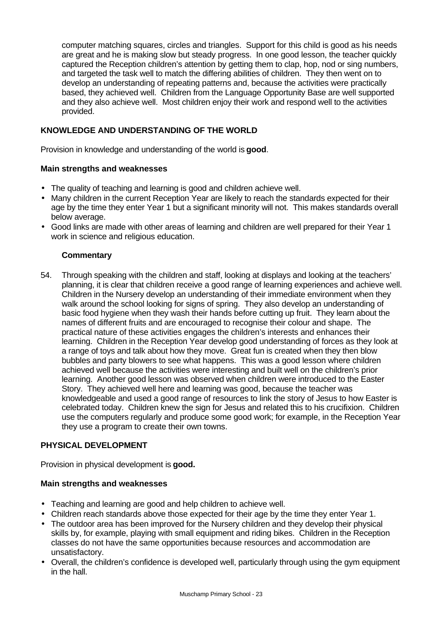computer matching squares, circles and triangles. Support for this child is good as his needs are great and he is making slow but steady progress. In one good lesson, the teacher quickly captured the Reception children's attention by getting them to clap, hop, nod or sing numbers, and targeted the task well to match the differing abilities of children. They then went on to develop an understanding of repeating patterns and, because the activities were practically based, they achieved well. Children from the Language Opportunity Base are well supported and they also achieve well. Most children enjoy their work and respond well to the activities provided.

## **KNOWLEDGE AND UNDERSTANDING OF THE WORLD**

Provision in knowledge and understanding of the world is **good**.

#### **Main strengths and weaknesses**

- The quality of teaching and learning is good and children achieve well.
- Many children in the current Reception Year are likely to reach the standards expected for their age by the time they enter Year 1 but a significant minority will not. This makes standards overall below average.
- Good links are made with other areas of learning and children are well prepared for their Year 1 work in science and religious education.

#### **Commentary**

54. Through speaking with the children and staff, looking at displays and looking at the teachers' planning, it is clear that children receive a good range of learning experiences and achieve well. Children in the Nursery develop an understanding of their immediate environment when they walk around the school looking for signs of spring. They also develop an understanding of basic food hygiene when they wash their hands before cutting up fruit.They learn about the names of different fruits and are encouraged to recognise their colour and shape. The practical nature of these activities engages the children's interests and enhances their learning. Children in the Reception Year develop good understanding of forces as they look at a range of toys and talk about how they move. Great fun is created when they then blow bubbles and party blowers to see what happens. This was a good lesson where children achieved well because the activities were interesting and built well on the children's prior learning. Another good lesson was observed when children were introduced to the Easter Story. They achieved well here and learning was good, because the teacher was knowledgeable and used a good range of resources to link the story of Jesus to how Easter is celebrated today. Children knew the sign for Jesus and related this to his crucifixion. Children use the computers regularly and produce some good work; for example, in the Reception Year they use a program to create their own towns.

#### **PHYSICAL DEVELOPMENT**

Provision in physical development is **good.**

#### **Main strengths and weaknesses**

- Teaching and learning are good and help children to achieve well.
- Children reach standards above those expected for their age by the time they enter Year 1.
- The outdoor area has been improved for the Nursery children and they develop their physical skills by, for example, playing with small equipment and riding bikes. Children in the Reception classes do not have the same opportunities because resources and accommodation are unsatisfactory.
- Overall, the children's confidence is developed well, particularly through using the gym equipment in the hall.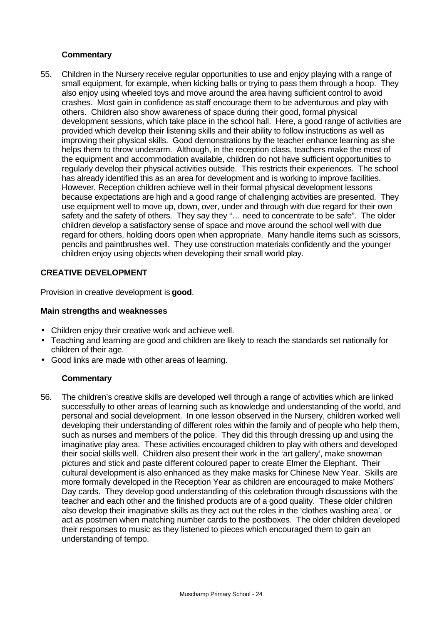#### **Commentary**

55. Children in the Nursery receive regular opportunities to use and enjoy playing with a range of small equipment, for example, when kicking balls or trying to pass them through a hoop. They also enjoy using wheeled toys and move around the area having sufficient control to avoid crashes. Most gain in confidence as staff encourage them to be adventurous and play with others. Children also show awareness of space during their good, formal physical development sessions, which take place in the school hall. Here, a good range of activities are provided which develop their listening skills and their ability to follow instructions as well as improving their physical skills. Good demonstrations by the teacher enhance learning as she helps them to throw underarm. Although, in the reception class, teachers make the most of the equipment and accommodation available, children do not have sufficient opportunities to regularly develop their physical activities outside. This restricts their experiences. The school has already identified this as an area for development and is working to improve facilities. However, Reception children achieve well in their formal physical development lessons because expectations are high and a good range of challenging activities are presented. They use equipment well to move up, down, over, under and through with due regard for their own safety and the safety of others. They say they "… need to concentrate to be safe". The older children develop a satisfactory sense of space and move around the school well with due regard for others, holding doors open when appropriate. Many handle items such as scissors, pencils and paintbrushes well. They use construction materials confidently and the younger children enjoy using objects when developing their small world play.

#### **CREATIVE DEVELOPMENT**

Provision in creative development is **good**.

#### **Main strengths and weaknesses**

- Children enjoy their creative work and achieve well.
- Teaching and learning are good and children are likely to reach the standards set nationally for children of their age.
- Good links are made with other areas of learning.

#### **Commentary**

56. The children's creative skills are developed well through a range of activities which are linked successfully to other areas of learning such as knowledge and understanding of the world, and personal and social development. In one lesson observed in the Nursery, children worked well developing their understanding of different roles within the family and of people who help them, such as nurses and members of the police. They did this through dressing up and using the imaginative play area. These activities encouraged children to play with others and developed their social skills well. Children also present their work in the 'art gallery', make snowman pictures and stick and paste different coloured paper to create Elmer the Elephant. Their cultural development is also enhanced as they make masks for Chinese New Year. Skills are more formally developed in the Reception Year as children are encouraged to make Mothers' Day cards. They develop good understanding of this celebration through discussions with the teacher and each other and the finished products are of a good quality. These older children also develop their imaginative skills as they act out the roles in the 'clothes washing area', or act as postmen when matching number cards to the postboxes. The older children developed their responses to music as they listened to pieces which encouraged them to gain an understanding of tempo.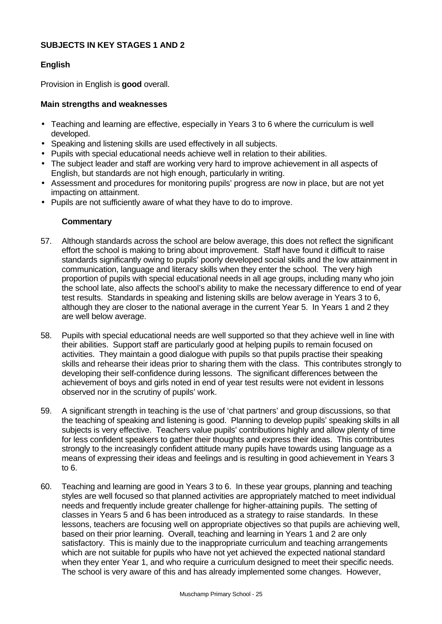#### **SUBJECTS IN KEY STAGES 1 AND 2**

#### **English**

Provision in English is **good** overall.

#### **Main strengths and weaknesses**

- Teaching and learning are effective, especially in Years 3 to 6 where the curriculum is well developed.
- Speaking and listening skills are used effectively in all subjects.
- Pupils with special educational needs achieve well in relation to their abilities.
- The subject leader and staff are working very hard to improve achievement in all aspects of English, but standards are not high enough, particularly in writing.
- Assessment and procedures for monitoring pupils' progress are now in place, but are not yet impacting on attainment.
- Pupils are not sufficiently aware of what they have to do to improve.

- 57. Although standards across the school are below average, this does not reflect the significant effort the school is making to bring about improvement. Staff have found it difficult to raise standards significantly owing to pupils' poorly developed social skills and the low attainment in communication, language and literacy skills when they enter the school. The very high proportion of pupils with special educational needs in all age groups, including many who join the school late, also affects the school's ability to make the necessary difference to end of year test results. Standards in speaking and listening skills are below average in Years 3 to 6, although they are closer to the national average in the current Year 5. In Years 1 and 2 they are well below average.
- 58. Pupils with special educational needs are well supported so that they achieve well in line with their abilities. Support staff are particularly good at helping pupils to remain focused on activities. They maintain a good dialogue with pupils so that pupils practise their speaking skills and rehearse their ideas prior to sharing them with the class. This contributes strongly to developing their self-confidence during lessons. The significant differences between the achievement of boys and girls noted in end of year test results were not evident in lessons observed nor in the scrutiny of pupils' work.
- 59. A significant strength in teaching is the use of 'chat partners' and group discussions, so that the teaching of speaking and listening is good. Planning to develop pupils' speaking skills in all subjects is very effective. Teachers value pupils' contributions highly and allow plenty of time for less confident speakers to gather their thoughts and express their ideas. This contributes strongly to the increasingly confident attitude many pupils have towards using language as a means of expressing their ideas and feelings and is resulting in good achievement in Years 3 to 6.
- 60. Teaching and learning are good in Years 3 to 6. In these year groups, planning and teaching styles are well focused so that planned activities are appropriately matched to meet individual needs and frequently include greater challenge for higher-attaining pupils. The setting of classes in Years 5 and 6 has been introduced as a strategy to raise standards. In these lessons, teachers are focusing well on appropriate objectives so that pupils are achieving well, based on their prior learning. Overall, teaching and learning in Years 1 and 2 are only satisfactory. This is mainly due to the inappropriate curriculum and teaching arrangements which are not suitable for pupils who have not yet achieved the expected national standard when they enter Year 1, and who require a curriculum designed to meet their specific needs. The school is very aware of this and has already implemented some changes. However,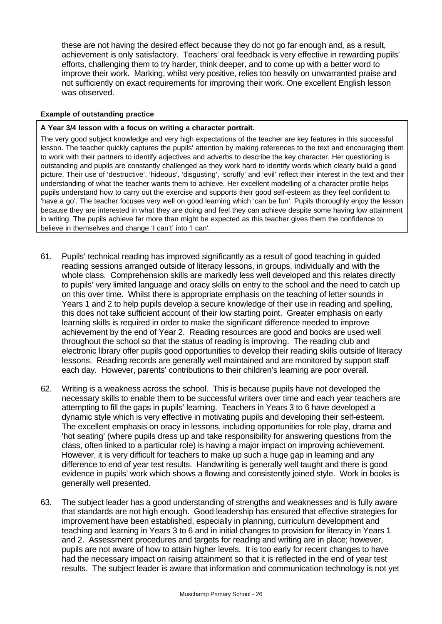these are not having the desired effect because they do not go far enough and, as a result, achievement is only satisfactory. Teachers' oral feedback is very effective in rewarding pupils' efforts, challenging them to try harder, think deeper, and to come up with a better word to improve their work. Marking, whilst very positive, relies too heavily on unwarranted praise and not sufficiently on exact requirements for improving their work. One excellent English lesson was observed.

#### **Example of outstanding practice**

#### **A Year 3/4 lesson with a focus on writing a character portrait.**

The very good subject knowledge and very high expectations of the teacher are key features in this successful lesson. The teacher quickly captures the pupils' attention by making references to the text and encouraging them to work with their partners to identify adjectives and adverbs to describe the key character. Her questioning is outstanding and pupils are constantly challenged as they work hard to identify words which clearly build a good picture. Their use of 'destructive', 'hideous', 'disgusting', 'scruffy' and 'evil' reflect their interest in the text and their understanding of what the teacher wants them to achieve. Her excellent modelling of a character profile helps pupils understand how to carry out the exercise and supports their good self-esteem as they feel confident to 'have a go'. The teacher focuses very well on good learning which 'can be fun'. Pupils thoroughly enjoy the lesson because they are interested in what they are doing and feel they can achieve despite some having low attainment in writing. The pupils achieve far more than might be expected as this teacher gives them the confidence to believe in themselves and change 'I can't' into 'I can'.

- 61. Pupils' technical reading has improved significantly as a result of good teaching in guided reading sessions arranged outside of literacy lessons, in groups, individually and with the whole class. Comprehension skills are markedly less well developed and this relates directly to pupils' very limited language and oracy skills on entry to the school and the need to catch up on this over time. Whilst there is appropriate emphasis on the teaching of letter sounds in Years 1 and 2 to help pupils develop a secure knowledge of their use in reading and spelling, this does not take sufficient account of their low starting point. Greater emphasis on early learning skills is required in order to make the significant difference needed to improve achievement by the end of Year 2. Reading resources are good and books are used well throughout the school so that the status of reading is improving. The reading club and electronic library offer pupils good opportunities to develop their reading skills outside of literacy lessons. Reading records are generally well maintained and are monitored by support staff each day. However, parents' contributions to their children's learning are poor overall.
- 62. Writing is a weakness across the school. This is because pupils have not developed the necessary skills to enable them to be successful writers over time and each year teachers are attempting to fill the gaps in pupils' learning. Teachers in Years 3 to 6 have developed a dynamic style which is very effective in motivating pupils and developing their self-esteem. The excellent emphasis on oracy in lessons, including opportunities for role play, drama and 'hot seating' (where pupils dress up and take responsibility for answering questions from the class, often linked to a particular role) is having a major impact on improving achievement. However, it is very difficult for teachers to make up such a huge gap in learning and any difference to end of year test results. Handwriting is generally well taught and there is good evidence in pupils' work which shows a flowing and consistently joined style. Work in books is generally well presented.
- 63. The subject leader has a good understanding of strengths and weaknesses and is fully aware that standards are not high enough. Good leadership has ensured that effective strategies for improvement have been established, especially in planning, curriculum development and teaching and learning in Years 3 to 6 and in initial changes to provision for literacy in Years 1 and 2. Assessment procedures and targets for reading and writing are in place; however, pupils are not aware of how to attain higher levels. It is too early for recent changes to have had the necessary impact on raising attainment so that it is reflected in the end of year test results. The subject leader is aware that information and communication technology is not yet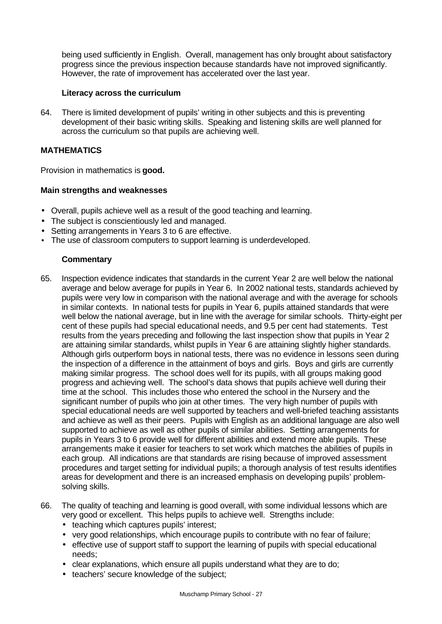being used sufficiently in English. Overall, management has only brought about satisfactory progress since the previous inspection because standards have not improved significantly. However, the rate of improvement has accelerated over the last year.

#### **Literacy across the curriculum**

64. There is limited development of pupils' writing in other subjects and this is preventing development of their basic writing skills. Speaking and listening skills are well planned for across the curriculum so that pupils are achieving well.

#### **MATHEMATICS**

Provision in mathematics is **good.**

#### **Main strengths and weaknesses**

- Overall, pupils achieve well as a result of the good teaching and learning.
- The subject is conscientiously led and managed.
- Setting arrangements in Years 3 to 6 are effective.
- The use of classroom computers to support learning is underdeveloped.

- 65. Inspection evidence indicates that standards in the current Year 2 are well below the national average and below average for pupils in Year 6. In 2002 national tests, standards achieved by pupils were very low in comparison with the national average and with the average for schools in similar contexts. In national tests for pupils in Year 6, pupils attained standards that were well below the national average, but in line with the average for similar schools. Thirty-eight per cent of these pupils had special educational needs, and 9.5 per cent had statements. Test results from the years preceding and following the last inspection show that pupils in Year 2 are attaining similar standards, whilst pupils in Year 6 are attaining slightly higher standards. Although girls outperform boys in national tests, there was no evidence in lessons seen during the inspection of a difference in the attainment of boys and girls. Boys and girls are currently making similar progress. The school does well for its pupils, with all groups making good progress and achieving well. The school's data shows that pupils achieve well during their time at the school. This includes those who entered the school in the Nursery and the significant number of pupils who join at other times. The very high number of pupils with special educational needs are well supported by teachers and well-briefed teaching assistants and achieve as well as their peers. Pupils with English as an additional language are also well supported to achieve as well as other pupils of similar abilities. Setting arrangements for pupils in Years 3 to 6 provide well for different abilities and extend more able pupils. These arrangements make it easier for teachers to set work which matches the abilities of pupils in each group. All indications are that standards are rising because of improved assessment procedures and target setting for individual pupils; a thorough analysis of test results identifies areas for development and there is an increased emphasis on developing pupils' problemsolving skills.
- 66. The quality of teaching and learning is good overall, with some individual lessons which are very good or excellent. This helps pupils to achieve well. Strengths include:
	- teaching which captures pupils' interest;
	- very good relationships, which encourage pupils to contribute with no fear of failure;
	- effective use of support staff to support the learning of pupils with special educational needs;
	- clear explanations, which ensure all pupils understand what they are to do;
	- teachers' secure knowledge of the subject;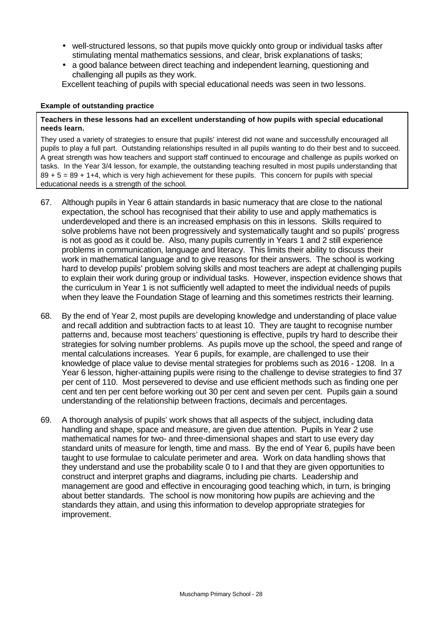- well-structured lessons, so that pupils move quickly onto group or individual tasks after stimulating mental mathematics sessions, and clear, brisk explanations of tasks;
- a good balance between direct teaching and independent learning, questioning and challenging all pupils as they work.

Excellent teaching of pupils with special educational needs was seen in two lessons.

#### **Example of outstanding practice**

#### **Teachers in these lessons had an excellent understanding of how pupils with special educational needs learn.**

They used a variety of strategies to ensure that pupils' interest did not wane and successfully encouraged all pupils to play a full part. Outstanding relationships resulted in all pupils wanting to do their best and to succeed. A great strength was how teachers and support staff continued to encourage and challenge as pupils worked on tasks. In the Year 3/4 lesson, for example, the outstanding teaching resulted in most pupils understanding that  $89 + 5 = 89 + 1+4$ , which is very high achievement for these pupils. This concern for pupils with special educational needs is a strength of the school.

- 67. Although pupils in Year 6 attain standards in basic numeracy that are close to the national expectation, the school has recognised that their ability to use and apply mathematics is underdeveloped and there is an increased emphasis on this in lessons. Skills required to solve problems have not been progressively and systematically taught and so pupils' progress is not as good as it could be. Also, many pupils currently in Years 1 and 2 still experience problems in communication, language and literacy. This limits their ability to discuss their work in mathematical language and to give reasons for their answers. The school is working hard to develop pupils' problem solving skills and most teachers are adept at challenging pupils to explain their work during group or individual tasks. However, inspection evidence shows that the curriculum in Year 1 is not sufficiently well adapted to meet the individual needs of pupils when they leave the Foundation Stage of learning and this sometimes restricts their learning.
- 68. By the end of Year 2, most pupils are developing knowledge and understanding of place value and recall addition and subtraction facts to at least 10. They are taught to recognise number patterns and, because most teachers' questioning is effective, pupils try hard to describe their strategies for solving number problems. As pupils move up the school, the speed and range of mental calculations increases. Year 6 pupils, for example, are challenged to use their knowledge of place value to devise mental strategies for problems such as 2016 - 1208. In a Year 6 lesson, higher-attaining pupils were rising to the challenge to devise strategies to find 37 per cent of 110. Most persevered to devise and use efficient methods such as finding one per cent and ten per cent before working out 30 per cent and seven per cent. Pupils gain a sound understanding of the relationship between fractions, decimals and percentages.
- 69. A thorough analysis of pupils' work shows that all aspects of the subject, including data handling and shape, space and measure, are given due attention. Pupils in Year 2 use mathematical names for two- and three-dimensional shapes and start to use every day standard units of measure for length, time and mass. By the end of Year 6, pupils have been taught to use formulae to calculate perimeter and area. Work on data handling shows that they understand and use the probability scale 0 to I and that they are given opportunities to construct and interpret graphs and diagrams, including pie charts. Leadership and management are good and effective in encouraging good teaching which, in turn, is bringing about better standards. The school is now monitoring how pupils are achieving and the standards they attain, and using this information to develop appropriate strategies for improvement.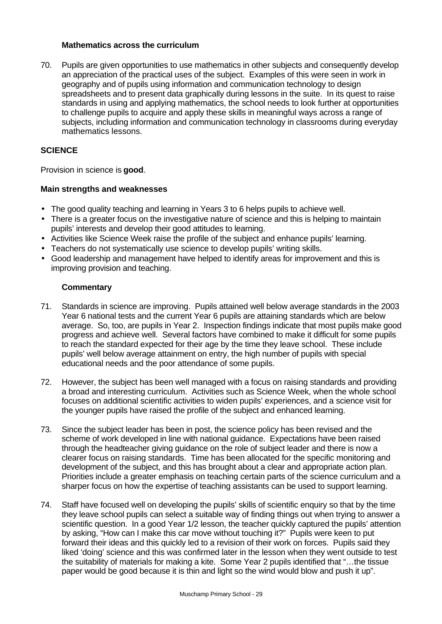#### **Mathematics across the curriculum**

70. Pupils are given opportunities to use mathematics in other subjects and consequently develop an appreciation of the practical uses of the subject. Examples of this were seen in work in geography and of pupils using information and communication technology to design spreadsheets and to present data graphically during lessons in the suite. In its quest to raise standards in using and applying mathematics, the school needs to look further at opportunities to challenge pupils to acquire and apply these skills in meaningful ways across a range of subjects, including information and communication technology in classrooms during everyday mathematics lessons.

#### **SCIENCE**

Provision in science is **good**.

#### **Main strengths and weaknesses**

- The good quality teaching and learning in Years 3 to 6 helps pupils to achieve well.
- There is a greater focus on the investigative nature of science and this is helping to maintain pupils' interests and develop their good attitudes to learning.
- Activities like Science Week raise the profile of the subject and enhance pupils' learning.
- Teachers do not systematically use science to develop pupils' writing skills.
- Good leadership and management have helped to identify areas for improvement and this is improving provision and teaching.

- 71. Standards in science are improving. Pupils attained well below average standards in the 2003 Year 6 national tests and the current Year 6 pupils are attaining standards which are below average. So, too, are pupils in Year 2. Inspection findings indicate that most pupils make good progress and achieve well. Several factors have combined to make it difficult for some pupils to reach the standard expected for their age by the time they leave school. These include pupils' well below average attainment on entry, the high number of pupils with special educational needs and the poor attendance of some pupils.
- 72. However, the subject has been well managed with a focus on raising standards and providing a broad and interesting curriculum. Activities such as Science Week, when the whole school focuses on additional scientific activities to widen pupils' experiences, and a science visit for the younger pupils have raised the profile of the subject and enhanced learning.
- 73. Since the subject leader has been in post, the science policy has been revised and the scheme of work developed in line with national guidance. Expectations have been raised through the headteacher giving guidance on the role of subject leader and there is now a clearer focus on raising standards. Time has been allocated for the specific monitoring and development of the subject, and this has brought about a clear and appropriate action plan. Priorities include a greater emphasis on teaching certain parts of the science curriculum and a sharper focus on how the expertise of teaching assistants can be used to support learning.
- 74. Staff have focused well on developing the pupils' skills of scientific enquiry so that by the time they leave school pupils can select a suitable way of finding things out when trying to answer a scientific question. In a good Year 1/2 lesson, the teacher quickly captured the pupils' attention by asking, "How can I make this car move without touching it?" Pupils were keen to put forward their ideas and this quickly led to a revision of their work on forces. Pupils said they liked 'doing' science and this was confirmed later in the lesson when they went outside to test the suitability of materials for making a kite. Some Year 2 pupils identified that "…the tissue paper would be good because it is thin and light so the wind would blow and push it up".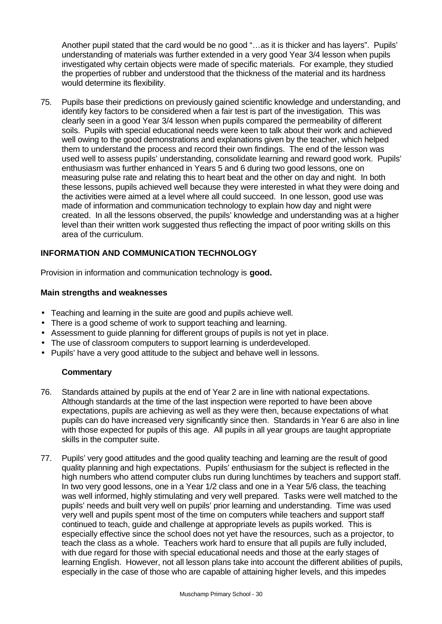Another pupil stated that the card would be no good "…as it is thicker and has layers". Pupils' understanding of materials was further extended in a very good Year 3/4 lesson when pupils investigated why certain objects were made of specific materials. For example, they studied the properties of rubber and understood that the thickness of the material and its hardness would determine its flexibility.

75. Pupils base their predictions on previously gained scientific knowledge and understanding, and identify key factors to be considered when a fair test is part of the investigation. This was clearly seen in a good Year 3/4 lesson when pupils compared the permeability of different soils. Pupils with special educational needs were keen to talk about their work and achieved well owing to the good demonstrations and explanations given by the teacher, which helped them to understand the process and record their own findings. The end of the lesson was used well to assess pupils' understanding, consolidate learning and reward good work. Pupils' enthusiasm was further enhanced in Years 5 and 6 during two good lessons, one on measuring pulse rate and relating this to heart beat and the other on day and night. In both these lessons, pupils achieved well because they were interested in what they were doing and the activities were aimed at a level where all could succeed. In one lesson, good use was made of information and communication technology to explain how day and night were created. In all the lessons observed, the pupils' knowledge and understanding was at a higher level than their written work suggested thus reflecting the impact of poor writing skills on this area of the curriculum.

#### **INFORMATION AND COMMUNICATION TECHNOLOGY**

Provision in information and communication technology is **good.**

#### **Main strengths and weaknesses**

- Teaching and learning in the suite are good and pupils achieve well.
- There is a good scheme of work to support teaching and learning.
- Assessment to guide planning for different groups of pupils is not yet in place.
- The use of classroom computers to support learning is underdeveloped.
- Pupils' have a very good attitude to the subject and behave well in lessons.

- 76. Standards attained by pupils at the end of Year 2 are in line with national expectations. Although standards at the time of the last inspection were reported to have been above expectations, pupils are achieving as well as they were then, because expectations of what pupils can do have increased very significantly since then. Standards in Year 6 are also in line with those expected for pupils of this age. All pupils in all year groups are taught appropriate skills in the computer suite.
- 77. Pupils' very good attitudes and the good quality teaching and learning are the result of good quality planning and high expectations. Pupils' enthusiasm for the subject is reflected in the high numbers who attend computer clubs run during lunchtimes by teachers and support staff. In two very good lessons, one in a Year 1/2 class and one in a Year 5/6 class, the teaching was well informed, highly stimulating and very well prepared. Tasks were well matched to the pupils' needs and built very well on pupils' prior learning and understanding. Time was used very well and pupils spent most of the time on computers while teachers and support staff continued to teach, guide and challenge at appropriate levels as pupils worked. This is especially effective since the school does not yet have the resources, such as a projector, to teach the class as a whole. Teachers work hard to ensure that all pupils are fully included, with due regard for those with special educational needs and those at the early stages of learning English. However, not all lesson plans take into account the different abilities of pupils, especially in the case of those who are capable of attaining higher levels, and this impedes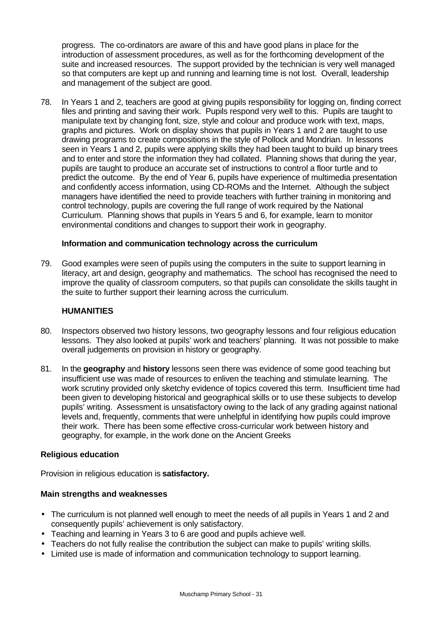progress. The co-ordinators are aware of this and have good plans in place for the introduction of assessment procedures, as well as for the forthcoming development of the suite and increased resources. The support provided by the technician is very well managed so that computers are kept up and running and learning time is not lost. Overall, leadership and management of the subject are good.

78. In Years 1 and 2, teachers are good at giving pupils responsibility for logging on, finding correct files and printing and saving their work. Pupils respond very well to this. Pupils are taught to manipulate text by changing font, size, style and colour and produce work with text, maps, graphs and pictures. Work on display shows that pupils in Years 1 and 2 are taught to use drawing programs to create compositions in the style of Pollock and Mondrian. In lessons seen in Years 1 and 2, pupils were applying skills they had been taught to build up binary trees and to enter and store the information they had collated. Planning shows that during the year, pupils are taught to produce an accurate set of instructions to control a floor turtle and to predict the outcome. By the end of Year 6, pupils have experience of multimedia presentation and confidently access information, using CD-ROMs and the Internet. Although the subject managers have identified the need to provide teachers with further training in monitoring and control technology, pupils are covering the full range of work required by the National Curriculum. Planning shows that pupils in Years 5 and 6, for example, learn to monitor environmental conditions and changes to support their work in geography.

#### **Information and communication technology across the curriculum**

79. Good examples were seen of pupils using the computers in the suite to support learning in literacy, art and design, geography and mathematics. The school has recognised the need to improve the quality of classroom computers, so that pupils can consolidate the skills taught in the suite to further support their learning across the curriculum.

#### **HUMANITIES**

- 80. Inspectors observed two history lessons, two geography lessons and four religious education lessons. They also looked at pupils' work and teachers' planning. It was not possible to make overall judgements on provision in history or geography.
- 81. In the **geography** and **history** lessons seen there was evidence of some good teaching but insufficient use was made of resources to enliven the teaching and stimulate learning. The work scrutiny provided only sketchy evidence of topics covered this term. Insufficient time had been given to developing historical and geographical skills or to use these subjects to develop pupils' writing. Assessment is unsatisfactory owing to the lack of any grading against national levels and, frequently, comments that were unhelpful in identifying how pupils could improve their work. There has been some effective cross-curricular work between history and geography, for example, in the work done on the Ancient Greeks

#### **Religious education**

Provision in religious education is **satisfactory.**

#### **Main strengths and weaknesses**

- The curriculum is not planned well enough to meet the needs of all pupils in Years 1 and 2 and consequently pupils' achievement is only satisfactory.
- Teaching and learning in Years 3 to 6 are good and pupils achieve well.
- Teachers do not fully realise the contribution the subject can make to pupils' writing skills.
- Limited use is made of information and communication technology to support learning.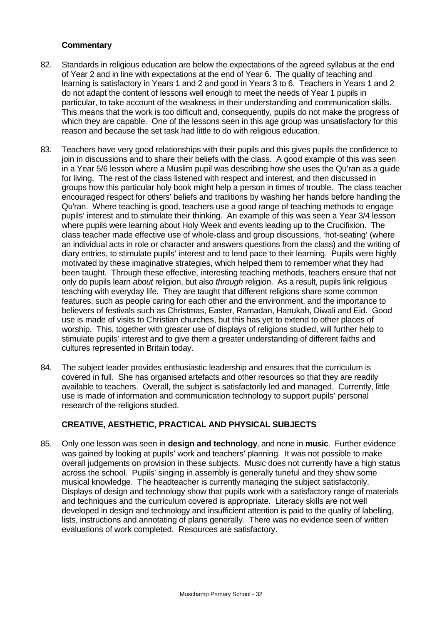#### **Commentary**

- 82. Standards in religious education are below the expectations of the agreed syllabus at the end of Year 2 and in line with expectations at the end of Year 6. The quality of teaching and learning is satisfactory in Years 1 and 2 and good in Years 3 to 6. Teachers in Years 1 and 2 do not adapt the content of lessons well enough to meet the needs of Year 1 pupils in particular, to take account of the weakness in their understanding and communication skills. This means that the work is too difficult and, consequently, pupils do not make the progress of which they are capable. One of the lessons seen in this age group was unsatisfactory for this reason and because the set task had little to do with religious education.
- 83. Teachers have very good relationships with their pupils and this gives pupils the confidence to join in discussions and to share their beliefs with the class. A good example of this was seen in a Year 5/6 lesson where a Muslim pupil was describing how she uses the Qu'ran as a guide for living. The rest of the class listened with respect and interest, and then discussed in groups how this particular holy book might help a person in times of trouble. The class teacher encouraged respect for others' beliefs and traditions by washing her hands before handling the Qu'ran. Where teaching is good, teachers use a good range of teaching methods to engage pupils' interest and to stimulate their thinking. An example of this was seen a Year 3/4 lesson where pupils were learning about Holy Week and events leading up to the Crucifixion. The class teacher made effective use of whole-class and group discussions, 'hot-seating' (where an individual acts in role or character and answers questions from the class) and the writing of diary entries, to stimulate pupils' interest and to lend pace to their learning. Pupils were highly motivated by these imaginative strategies, which helped them to remember what they had been taught. Through these effective, interesting teaching methods, teachers ensure that not only do pupils learn *about* religion, but also *through* religion. As a result, pupils link religious teaching with everyday life. They are taught that different religions share some common features, such as people caring for each other and the environment, and the importance to believers of festivals such as Christmas, Easter, Ramadan, Hanukah, Diwali and Eid. Good use is made of visits to Christian churches, but this has yet to extend to other places of worship. This, together with greater use of displays of religions studied, will further help to stimulate pupils' interest and to give them a greater understanding of different faiths and cultures represented in Britain today.
- 84. The subject leader provides enthusiastic leadership and ensures that the curriculum is covered in full. She has organised artefacts and other resources so that they are readily available to teachers. Overall, the subject is satisfactorily led and managed. Currently, little use is made of information and communication technology to support pupils' personal research of the religions studied.

# **CREATIVE, AESTHETIC, PRACTICAL AND PHYSICAL SUBJECTS**

85. Only one lesson was seen in **design and technology**, and none in **music**. Further evidence was gained by looking at pupils' work and teachers' planning. It was not possible to make overall judgements on provision in these subjects. Music does not currently have a high status across the school. Pupils' singing in assembly is generally tuneful and they show some musical knowledge. The headteacher is currently managing the subject satisfactorily. Displays of design and technology show that pupils work with a satisfactory range of materials and techniques and the curriculum covered is appropriate. Literacy skills are not well developed in design and technology and insufficient attention is paid to the quality of labelling, lists, instructions and annotating of plans generally. There was no evidence seen of written evaluations of work completed. Resources are satisfactory.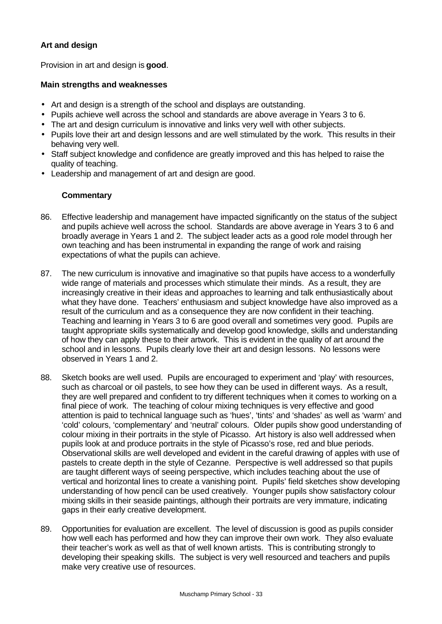# **Art and design**

Provision in art and design is **good**.

#### **Main strengths and weaknesses**

- Art and design is a strength of the school and displays are outstanding.
- Pupils achieve well across the school and standards are above average in Years 3 to 6.
- The art and design curriculum is innovative and links very well with other subjects.
- Pupils love their art and design lessons and are well stimulated by the work. This results in their behaving very well.
- Staff subject knowledge and confidence are greatly improved and this has helped to raise the quality of teaching.
- Leadership and management of art and design are good.

- 86. Effective leadership and management have impacted significantly on the status of the subject and pupils achieve well across the school. Standards are above average in Years 3 to 6 and broadly average in Years 1 and 2. The subject leader acts as a good role model through her own teaching and has been instrumental in expanding the range of work and raising expectations of what the pupils can achieve.
- 87. The new curriculum is innovative and imaginative so that pupils have access to a wonderfully wide range of materials and processes which stimulate their minds. As a result, they are increasingly creative in their ideas and approaches to learning and talk enthusiastically about what they have done. Teachers' enthusiasm and subject knowledge have also improved as a result of the curriculum and as a consequence they are now confident in their teaching. Teaching and learning in Years 3 to 6 are good overall and sometimes very good. Pupils are taught appropriate skills systematically and develop good knowledge, skills and understanding of how they can apply these to their artwork. This is evident in the quality of art around the school and in lessons. Pupils clearly love their art and design lessons. No lessons were observed in Years 1 and 2.
- 88. Sketch books are well used. Pupils are encouraged to experiment and 'play' with resources, such as charcoal or oil pastels, to see how they can be used in different ways. As a result, they are well prepared and confident to try different techniques when it comes to working on a final piece of work. The teaching of colour mixing techniques is very effective and good attention is paid to technical language such as 'hues', 'tints' and 'shades' as well as 'warm' and 'cold' colours, 'complementary' and 'neutral' colours. Older pupils show good understanding of colour mixing in their portraits in the style of Picasso. Art history is also well addressed when pupils look at and produce portraits in the style of Picasso's rose, red and blue periods. Observational skills are well developed and evident in the careful drawing of apples with use of pastels to create depth in the style of Cezanne. Perspective is well addressed so that pupils are taught different ways of seeing perspective, which includes teaching about the use of vertical and horizontal lines to create a vanishing point. Pupils' field sketches show developing understanding of how pencil can be used creatively. Younger pupils show satisfactory colour mixing skills in their seaside paintings, although their portraits are very immature, indicating gaps in their early creative development.
- 89. Opportunities for evaluation are excellent. The level of discussion is good as pupils consider how well each has performed and how they can improve their own work. They also evaluate their teacher's work as well as that of well known artists. This is contributing strongly to developing their speaking skills. The subject is very well resourced and teachers and pupils make very creative use of resources.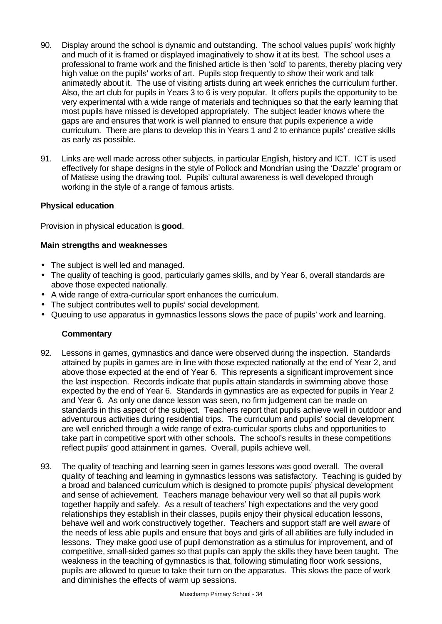- 90. Display around the school is dynamic and outstanding. The school values pupils' work highly and much of it is framed or displayed imaginatively to show it at its best. The school uses a professional to frame work and the finished article is then 'sold' to parents, thereby placing very high value on the pupils' works of art. Pupils stop frequently to show their work and talk animatedly about it. The use of visiting artists during art week enriches the curriculum further. Also, the art club for pupils in Years 3 to 6 is very popular. It offers pupils the opportunity to be very experimental with a wide range of materials and techniques so that the early learning that most pupils have missed is developed appropriately. The subject leader knows where the gaps are and ensures that work is well planned to ensure that pupils experience a wide curriculum. There are plans to develop this in Years 1 and 2 to enhance pupils' creative skills as early as possible.
- 91. Links are well made across other subjects, in particular English, history and ICT. ICT is used effectively for shape designs in the style of Pollock and Mondrian using the 'Dazzle' program or of Matisse using the drawing tool. Pupils' cultural awareness is well developed through working in the style of a range of famous artists.

#### **Physical education**

Provision in physical education is **good**.

#### **Main strengths and weaknesses**

- The subject is well led and managed.
- The quality of teaching is good, particularly games skills, and by Year 6, overall standards are above those expected nationally.
- A wide range of extra-curricular sport enhances the curriculum.
- The subject contributes well to pupils' social development.
- Queuing to use apparatus in gymnastics lessons slows the pace of pupils' work and learning.

- 92. Lessons in games, gymnastics and dance were observed during the inspection. Standards attained by pupils in games are in line with those expected nationally at the end of Year 2, and above those expected at the end of Year 6. This represents a significant improvement since the last inspection. Records indicate that pupils attain standards in swimming above those expected by the end of Year 6. Standards in gymnastics are as expected for pupils in Year 2 and Year 6. As only one dance lesson was seen, no firm judgement can be made on standards in this aspect of the subject. Teachers report that pupils achieve well in outdoor and adventurous activities during residential trips. The curriculum and pupils' social development are well enriched through a wide range of extra-curricular sports clubs and opportunities to take part in competitive sport with other schools. The school's results in these competitions reflect pupils' good attainment in games. Overall, pupils achieve well.
- 93. The quality of teaching and learning seen in games lessons was good overall. The overall quality of teaching and learning in gymnastics lessons was satisfactory. Teaching is guided by a broad and balanced curriculum which is designed to promote pupils' physical development and sense of achievement. Teachers manage behaviour very well so that all pupils work together happily and safely. As a result of teachers' high expectations and the very good relationships they establish in their classes, pupils enjoy their physical education lessons, behave well and work constructively together. Teachers and support staff are well aware of the needs of less able pupils and ensure that boys and girls of all abilities are fully included in lessons. They make good use of pupil demonstration as a stimulus for improvement, and of competitive, small-sided games so that pupils can apply the skills they have been taught. The weakness in the teaching of gymnastics is that, following stimulating floor work sessions, pupils are allowed to queue to take their turn on the apparatus. This slows the pace of work and diminishes the effects of warm up sessions.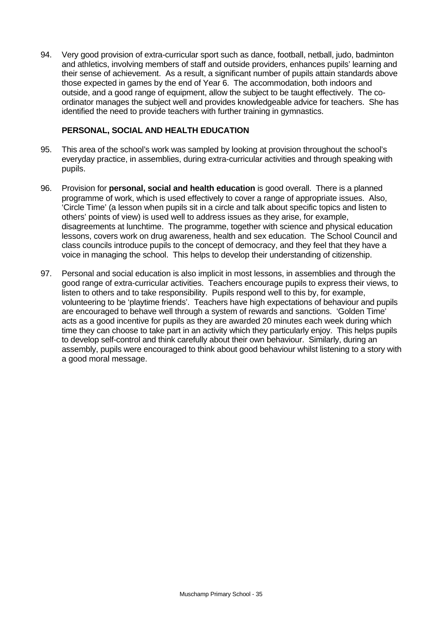94. Very good provision of extra-curricular sport such as dance, football, netball, judo, badminton and athletics, involving members of staff and outside providers, enhances pupils' learning and their sense of achievement. As a result, a significant number of pupils attain standards above those expected in games by the end of Year 6. The accommodation, both indoors and outside, and a good range of equipment, allow the subject to be taught effectively. The coordinator manages the subject well and provides knowledgeable advice for teachers. She has identified the need to provide teachers with further training in gymnastics.

#### **PERSONAL, SOCIAL AND HEALTH EDUCATION**

- 95. This area of the school's work was sampled by looking at provision throughout the school's everyday practice, in assemblies, during extra-curricular activities and through speaking with pupils.
- 96. Provision for **personal, social and health education** is good overall. There is a planned programme of work, which is used effectively to cover a range of appropriate issues. Also, 'Circle Time' (a lesson when pupils sit in a circle and talk about specific topics and listen to others' points of view) is used well to address issues as they arise, for example, disagreements at lunchtime. The programme, together with science and physical education lessons, covers work on drug awareness, health and sex education. The School Council and class councils introduce pupils to the concept of democracy, and they feel that they have a voice in managing the school. This helps to develop their understanding of citizenship.
- 97. Personal and social education is also implicit in most lessons, in assemblies and through the good range of extra-curricular activities. Teachers encourage pupils to express their views, to listen to others and to take responsibility. Pupils respond well to this by, for example, volunteering to be 'playtime friends'. Teachers have high expectations of behaviour and pupils are encouraged to behave well through a system of rewards and sanctions. 'Golden Time' acts as a good incentive for pupils as they are awarded 20 minutes each week during which time they can choose to take part in an activity which they particularly enjoy. This helps pupils to develop self-control and think carefully about their own behaviour. Similarly, during an assembly, pupils were encouraged to think about good behaviour whilst listening to a story with a good moral message.